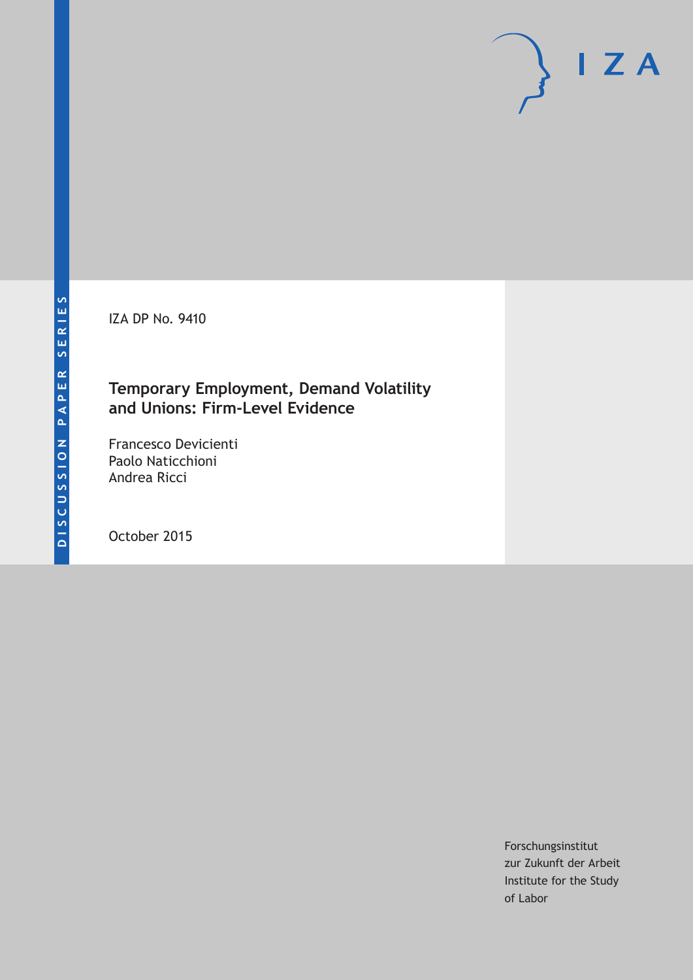IZA DP No. 9410

## **Temporary Employment, Demand Volatility and Unions: Firm-Level Evidence**

Francesco Devicienti Paolo Naticchioni Andrea Ricci

October 2015

Forschungsinstitut zur Zukunft der Arbeit Institute for the Study of Labor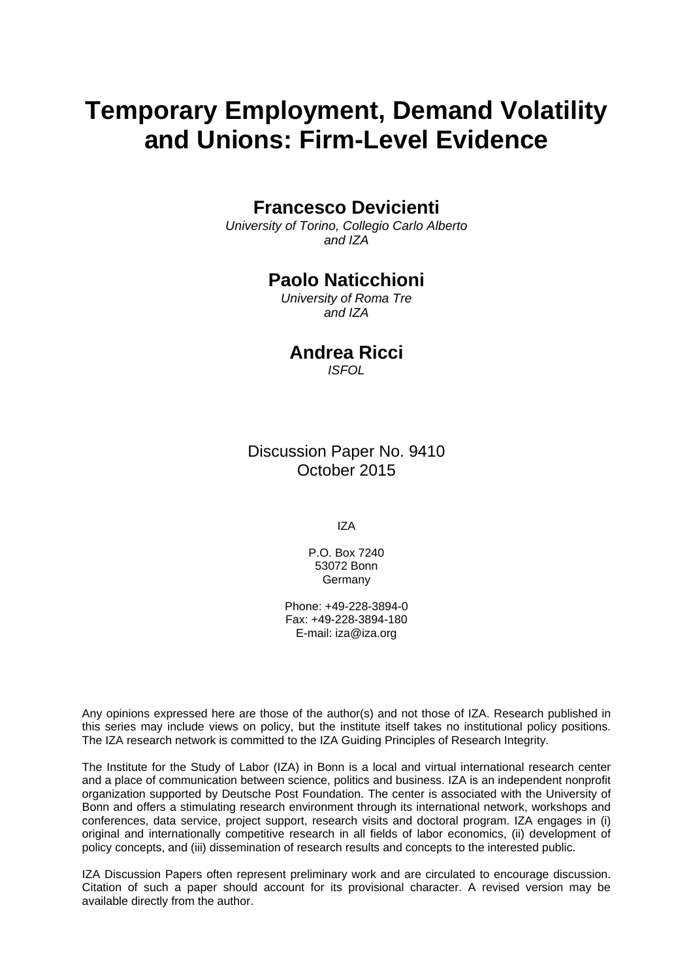# **Temporary Employment, Demand Volatility and Unions: Firm-Level Evidence**

### **Francesco Devicienti**

*University of Torino, Collegio Carlo Alberto and IZA* 

## **Paolo Naticchioni**

*University of Roma Tre and IZA* 

## **Andrea Ricci**

*ISFOL*

Discussion Paper No. 9410 October 2015

IZA

P.O. Box 7240 53072 Bonn **Germany** 

Phone: +49-228-3894-0 Fax: +49-228-3894-180 E-mail: iza@iza.org

Any opinions expressed here are those of the author(s) and not those of IZA. Research published in this series may include views on policy, but the institute itself takes no institutional policy positions. The IZA research network is committed to the IZA Guiding Principles of Research Integrity.

The Institute for the Study of Labor (IZA) in Bonn is a local and virtual international research center and a place of communication between science, politics and business. IZA is an independent nonprofit organization supported by Deutsche Post Foundation. The center is associated with the University of Bonn and offers a stimulating research environment through its international network, workshops and conferences, data service, project support, research visits and doctoral program. IZA engages in (i) original and internationally competitive research in all fields of labor economics, (ii) development of policy concepts, and (iii) dissemination of research results and concepts to the interested public.

IZA Discussion Papers often represent preliminary work and are circulated to encourage discussion. Citation of such a paper should account for its provisional character. A revised version may be available directly from the author.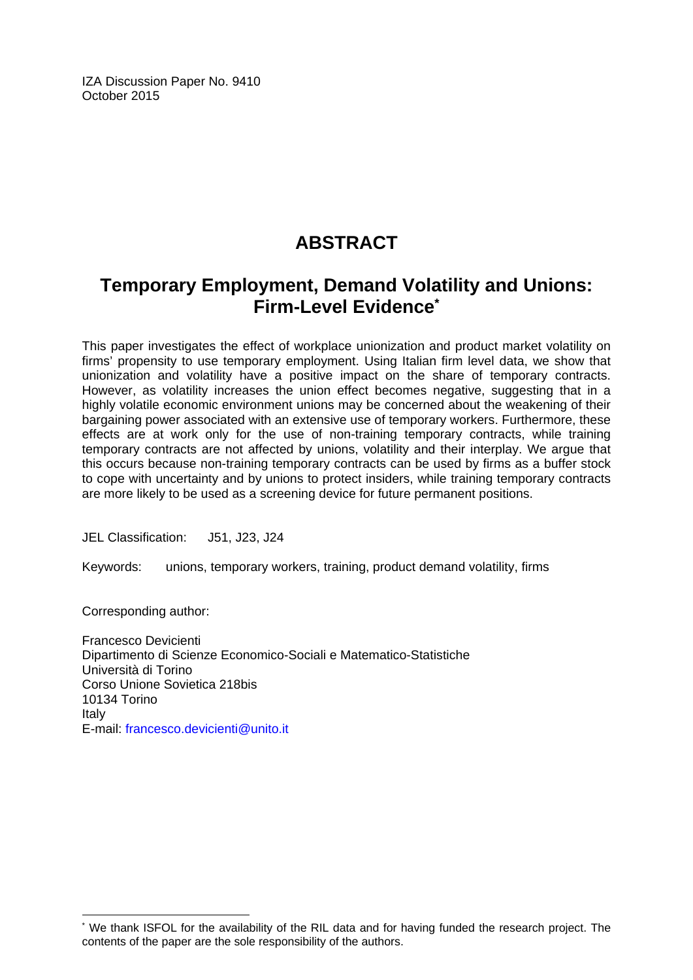IZA Discussion Paper No. 9410 October 2015

## **ABSTRACT**

## **Temporary Employment, Demand Volatility and Unions: Firm-Level Evidence\***

This paper investigates the effect of workplace unionization and product market volatility on firms' propensity to use temporary employment. Using Italian firm level data, we show that unionization and volatility have a positive impact on the share of temporary contracts. However, as volatility increases the union effect becomes negative, suggesting that in a highly volatile economic environment unions may be concerned about the weakening of their bargaining power associated with an extensive use of temporary workers. Furthermore, these effects are at work only for the use of non-training temporary contracts, while training temporary contracts are not affected by unions, volatility and their interplay. We argue that this occurs because non-training temporary contracts can be used by firms as a buffer stock to cope with uncertainty and by unions to protect insiders, while training temporary contracts are more likely to be used as a screening device for future permanent positions.

JEL Classification: J51, J23, J24

Keywords: unions, temporary workers, training, product demand volatility, firms

Corresponding author:

 $\overline{\phantom{a}}$ 

Francesco Devicienti Dipartimento di Scienze Economico-Sociali e Matematico-Statistiche Università di Torino Corso Unione Sovietica 218bis 10134 Torino Italy E-mail: francesco.devicienti@unito.it

<sup>\*</sup> We thank ISFOL for the availability of the RIL data and for having funded the research project. The contents of the paper are the sole responsibility of the authors.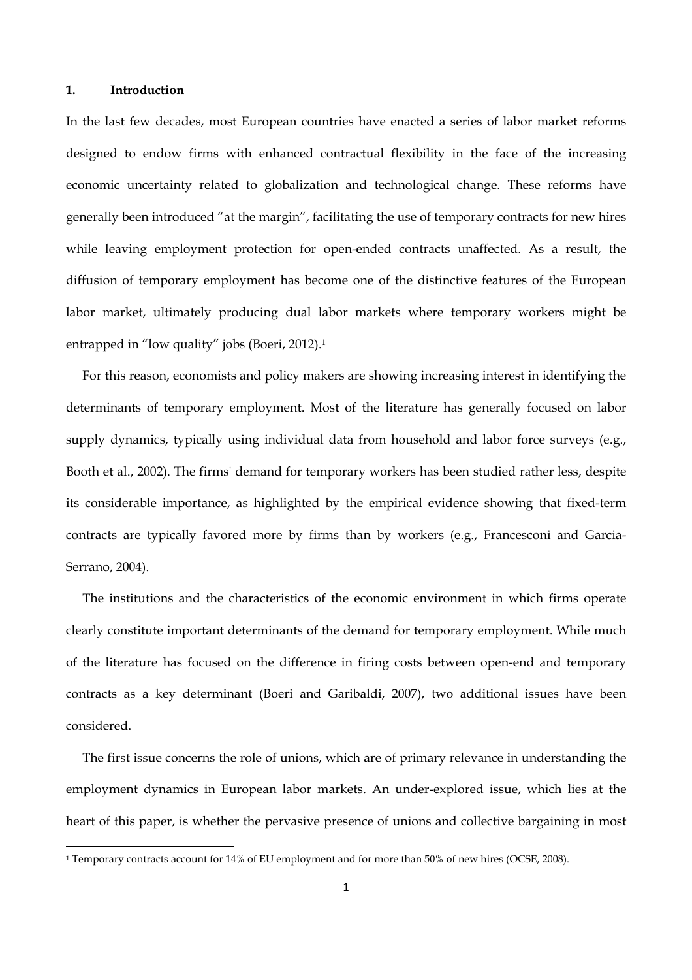#### **1. Introduction**

In the last few decades, most European countries have enacted a series of labor market reforms designed to endow firms with enhanced contractual flexibility in the face of the increasing economic uncertainty related to globalization and technological change. These reforms have generally been introduced "at the margin", facilitating the use of temporary contracts for new hires while leaving employment protection for open-ended contracts unaffected. As a result, the diffusion of temporary employment has become one of the distinctive features of the European labor market, ultimately producing dual labor markets where temporary workers might be entrapped in "low quality" jobs (Boeri, 2012).1

For this reason, economists and policy makers are showing increasing interest in identifying the determinants of temporary employment. Most of the literature has generally focused on labor supply dynamics, typically using individual data from household and labor force surveys (e.g., Booth et al., 2002). The firms' demand for temporary workers has been studied rather less, despite its considerable importance, as highlighted by the empirical evidence showing that fixed-term contracts are typically favored more by firms than by workers (e.g., Francesconi and Garcia-Serrano, 2004).

The institutions and the characteristics of the economic environment in which firms operate clearly constitute important determinants of the demand for temporary employment. While much of the literature has focused on the difference in firing costs between open-end and temporary contracts as a key determinant (Boeri and Garibaldi, 2007), two additional issues have been considered.

The first issue concerns the role of unions, which are of primary relevance in understanding the employment dynamics in European labor markets. An under-explored issue, which lies at the heart of this paper, is whether the pervasive presence of unions and collective bargaining in most

<sup>1</sup> Temporary contracts account for 14% of EU employment and for more than 50% of new hires (OCSE, 2008).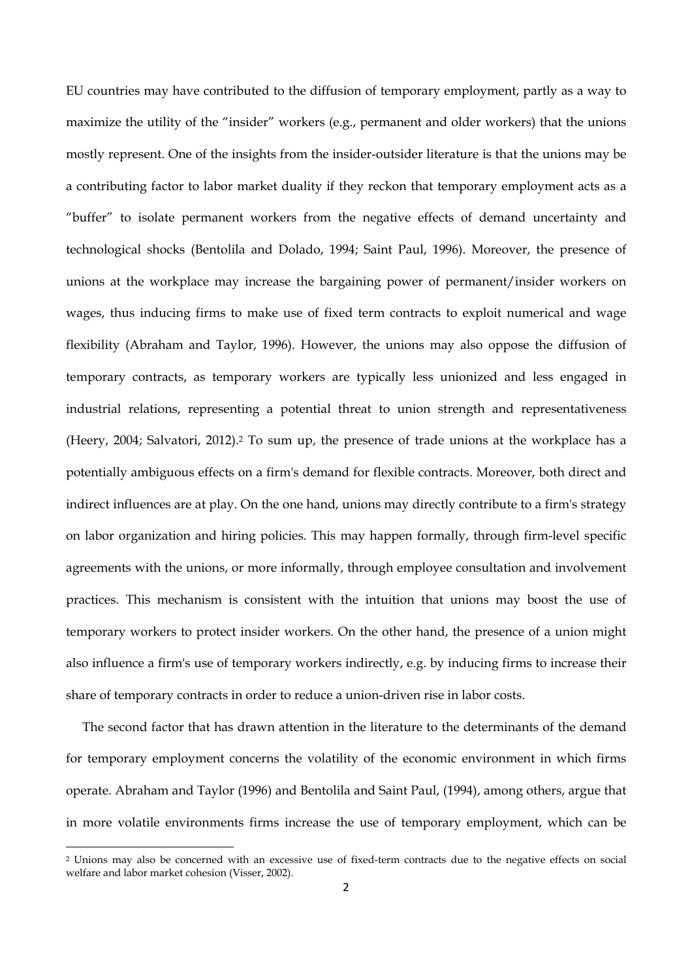EU countries may have contributed to the diffusion of temporary employment, partly as a way to maximize the utility of the "insider" workers (e.g., permanent and older workers) that the unions mostly represent. One of the insights from the insider-outsider literature is that the unions may be a contributing factor to labor market duality if they reckon that temporary employment acts as a "buffer" to isolate permanent workers from the negative effects of demand uncertainty and technological shocks (Bentolila and Dolado, 1994; Saint Paul, 1996). Moreover, the presence of unions at the workplace may increase the bargaining power of permanent/insider workers on wages, thus inducing firms to make use of fixed term contracts to exploit numerical and wage flexibility (Abraham and Taylor, 1996). However, the unions may also oppose the diffusion of temporary contracts, as temporary workers are typically less unionized and less engaged in industrial relations, representing a potential threat to union strength and representativeness (Heery, 2004; Salvatori, 2012).2 To sum up, the presence of trade unions at the workplace has a potentially ambiguous effects on a firm's demand for flexible contracts. Moreover, both direct and indirect influences are at play. On the one hand, unions may directly contribute to a firm's strategy on labor organization and hiring policies. This may happen formally, through firm-level specific agreements with the unions, or more informally, through employee consultation and involvement practices. This mechanism is consistent with the intuition that unions may boost the use of temporary workers to protect insider workers. On the other hand, the presence of a union might also influence a firm's use of temporary workers indirectly, e.g. by inducing firms to increase their share of temporary contracts in order to reduce a union-driven rise in labor costs.

The second factor that has drawn attention in the literature to the determinants of the demand for temporary employment concerns the volatility of the economic environment in which firms operate. Abraham and Taylor (1996) and Bentolila and Saint Paul, (1994), among others, argue that in more volatile environments firms increase the use of temporary employment, which can be

<sup>2</sup> Unions may also be concerned with an excessive use of fixed-term contracts due to the negative effects on social welfare and labor market cohesion (Visser, 2002).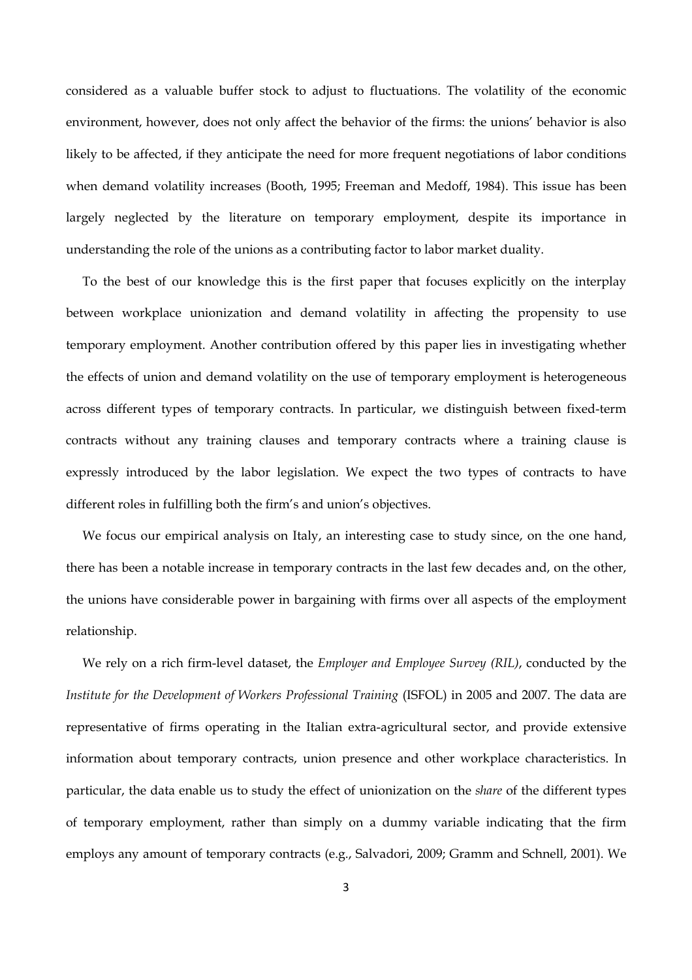considered as a valuable buffer stock to adjust to fluctuations. The volatility of the economic environment, however, does not only affect the behavior of the firms: the unions' behavior is also likely to be affected, if they anticipate the need for more frequent negotiations of labor conditions when demand volatility increases (Booth, 1995; Freeman and Medoff, 1984). This issue has been largely neglected by the literature on temporary employment, despite its importance in understanding the role of the unions as a contributing factor to labor market duality.

To the best of our knowledge this is the first paper that focuses explicitly on the interplay between workplace unionization and demand volatility in affecting the propensity to use temporary employment. Another contribution offered by this paper lies in investigating whether the effects of union and demand volatility on the use of temporary employment is heterogeneous across different types of temporary contracts. In particular, we distinguish between fixed-term contracts without any training clauses and temporary contracts where a training clause is expressly introduced by the labor legislation. We expect the two types of contracts to have different roles in fulfilling both the firm's and union's objectives.

We focus our empirical analysis on Italy, an interesting case to study since, on the one hand, there has been a notable increase in temporary contracts in the last few decades and, on the other, the unions have considerable power in bargaining with firms over all aspects of the employment relationship.

We rely on a rich firm-level dataset, the *Employer and Employee Survey (RIL)*, conducted by the *Institute for the Development of Workers Professional Training* (ISFOL) in 2005 and 2007. The data are representative of firms operating in the Italian extra-agricultural sector, and provide extensive information about temporary contracts, union presence and other workplace characteristics. In particular, the data enable us to study the effect of unionization on the *share* of the different types of temporary employment, rather than simply on a dummy variable indicating that the firm employs any amount of temporary contracts (e.g., Salvadori, 2009; Gramm and Schnell, 2001). We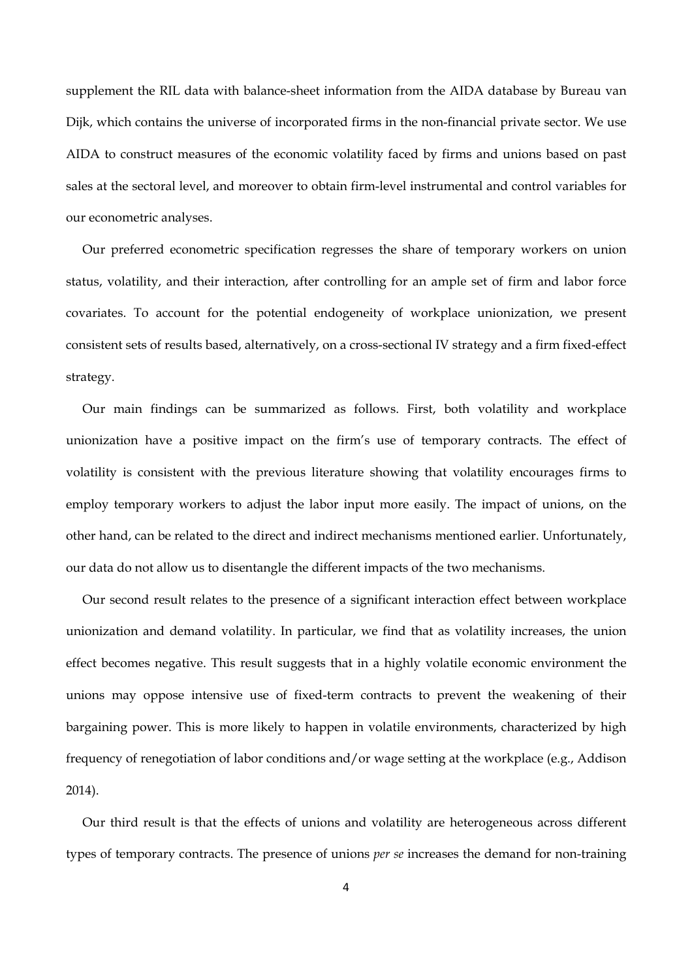supplement the RIL data with balance-sheet information from the AIDA database by Bureau van Dijk, which contains the universe of incorporated firms in the non-financial private sector. We use AIDA to construct measures of the economic volatility faced by firms and unions based on past sales at the sectoral level, and moreover to obtain firm-level instrumental and control variables for our econometric analyses.

Our preferred econometric specification regresses the share of temporary workers on union status, volatility, and their interaction, after controlling for an ample set of firm and labor force covariates. To account for the potential endogeneity of workplace unionization, we present consistent sets of results based, alternatively, on a cross-sectional IV strategy and a firm fixed-effect strategy.

Our main findings can be summarized as follows. First, both volatility and workplace unionization have a positive impact on the firm's use of temporary contracts. The effect of volatility is consistent with the previous literature showing that volatility encourages firms to employ temporary workers to adjust the labor input more easily. The impact of unions, on the other hand, can be related to the direct and indirect mechanisms mentioned earlier. Unfortunately, our data do not allow us to disentangle the different impacts of the two mechanisms.

Our second result relates to the presence of a significant interaction effect between workplace unionization and demand volatility. In particular, we find that as volatility increases, the union effect becomes negative. This result suggests that in a highly volatile economic environment the unions may oppose intensive use of fixed-term contracts to prevent the weakening of their bargaining power. This is more likely to happen in volatile environments, characterized by high frequency of renegotiation of labor conditions and/or wage setting at the workplace (e.g., Addison 2014).

Our third result is that the effects of unions and volatility are heterogeneous across different types of temporary contracts. The presence of unions *per se* increases the demand for non-training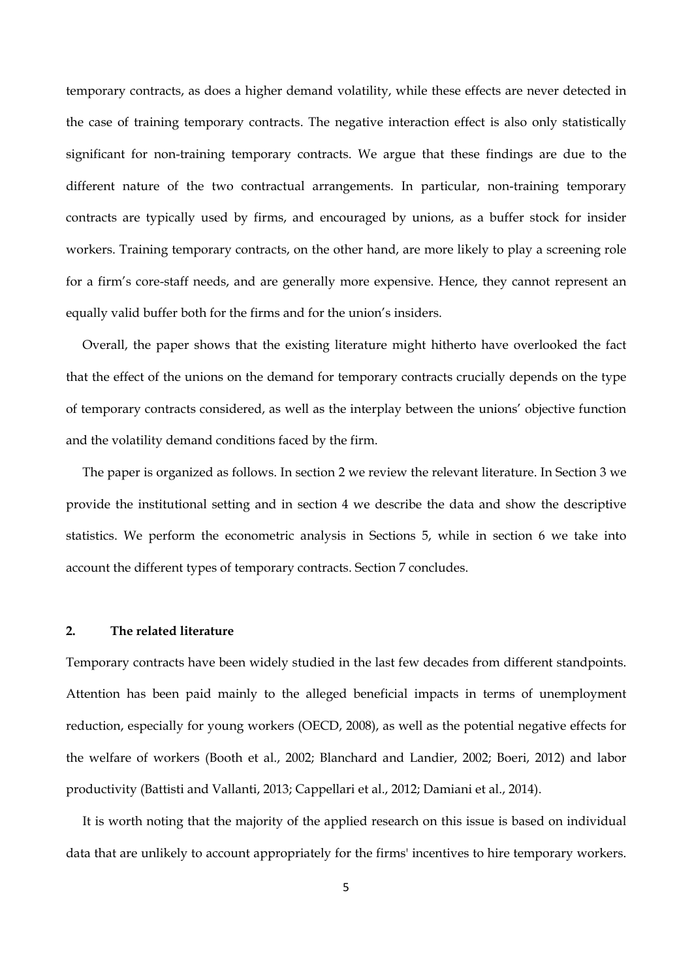temporary contracts, as does a higher demand volatility, while these effects are never detected in the case of training temporary contracts. The negative interaction effect is also only statistically significant for non-training temporary contracts. We argue that these findings are due to the different nature of the two contractual arrangements. In particular, non-training temporary contracts are typically used by firms, and encouraged by unions, as a buffer stock for insider workers. Training temporary contracts, on the other hand, are more likely to play a screening role for a firm's core-staff needs, and are generally more expensive. Hence, they cannot represent an equally valid buffer both for the firms and for the union's insiders.

Overall, the paper shows that the existing literature might hitherto have overlooked the fact that the effect of the unions on the demand for temporary contracts crucially depends on the type of temporary contracts considered, as well as the interplay between the unions' objective function and the volatility demand conditions faced by the firm.

The paper is organized as follows. In section 2 we review the relevant literature. In Section 3 we provide the institutional setting and in section 4 we describe the data and show the descriptive statistics. We perform the econometric analysis in Sections 5, while in section 6 we take into account the different types of temporary contracts. Section 7 concludes.

#### **2. The related literature**

Temporary contracts have been widely studied in the last few decades from different standpoints. Attention has been paid mainly to the alleged beneficial impacts in terms of unemployment reduction, especially for young workers (OECD, 2008), as well as the potential negative effects for the welfare of workers (Booth et al., 2002; Blanchard and Landier, 2002; Boeri, 2012) and labor productivity (Battisti and Vallanti, 2013; Cappellari et al., 2012; Damiani et al., 2014).

It is worth noting that the majority of the applied research on this issue is based on individual data that are unlikely to account appropriately for the firms' incentives to hire temporary workers.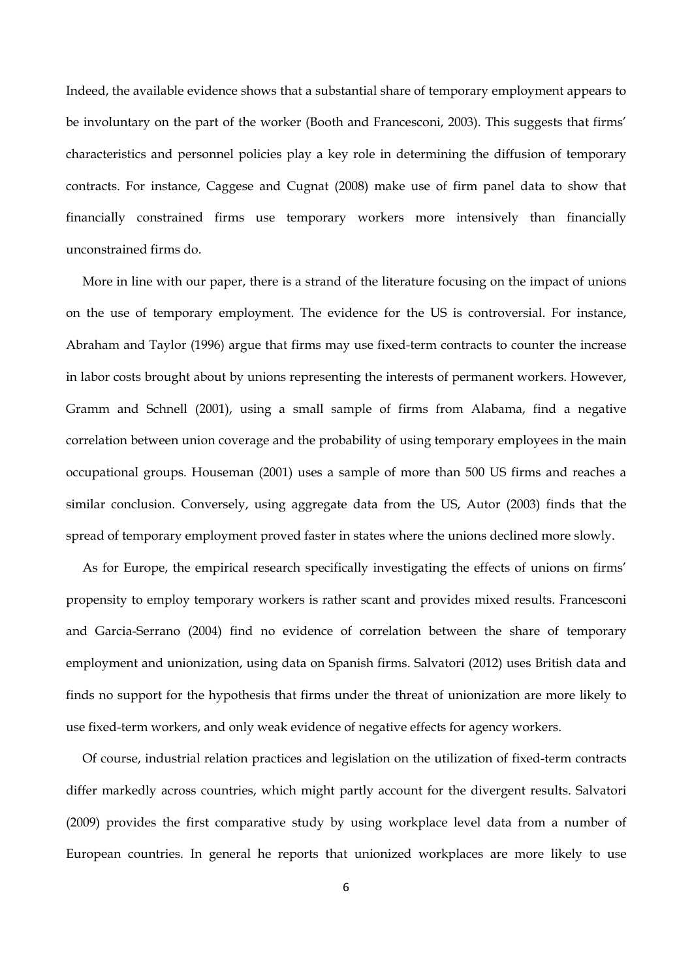Indeed, the available evidence shows that a substantial share of temporary employment appears to be involuntary on the part of the worker (Booth and Francesconi, 2003). This suggests that firms' characteristics and personnel policies play a key role in determining the diffusion of temporary contracts. For instance, Caggese and Cugnat (2008) make use of firm panel data to show that financially constrained firms use temporary workers more intensively than financially unconstrained firms do.

More in line with our paper, there is a strand of the literature focusing on the impact of unions on the use of temporary employment. The evidence for the US is controversial. For instance, Abraham and Taylor (1996) argue that firms may use fixed-term contracts to counter the increase in labor costs brought about by unions representing the interests of permanent workers. However, Gramm and Schnell (2001), using a small sample of firms from Alabama, find a negative correlation between union coverage and the probability of using temporary employees in the main occupational groups. Houseman (2001) uses a sample of more than 500 US firms and reaches a similar conclusion. Conversely, using aggregate data from the US, Autor (2003) finds that the spread of temporary employment proved faster in states where the unions declined more slowly.

As for Europe, the empirical research specifically investigating the effects of unions on firms' propensity to employ temporary workers is rather scant and provides mixed results. Francesconi and Garcia-Serrano (2004) find no evidence of correlation between the share of temporary employment and unionization, using data on Spanish firms. Salvatori (2012) uses British data and finds no support for the hypothesis that firms under the threat of unionization are more likely to use fixed-term workers, and only weak evidence of negative effects for agency workers.

Of course, industrial relation practices and legislation on the utilization of fixed-term contracts differ markedly across countries, which might partly account for the divergent results. Salvatori (2009) provides the first comparative study by using workplace level data from a number of European countries. In general he reports that unionized workplaces are more likely to use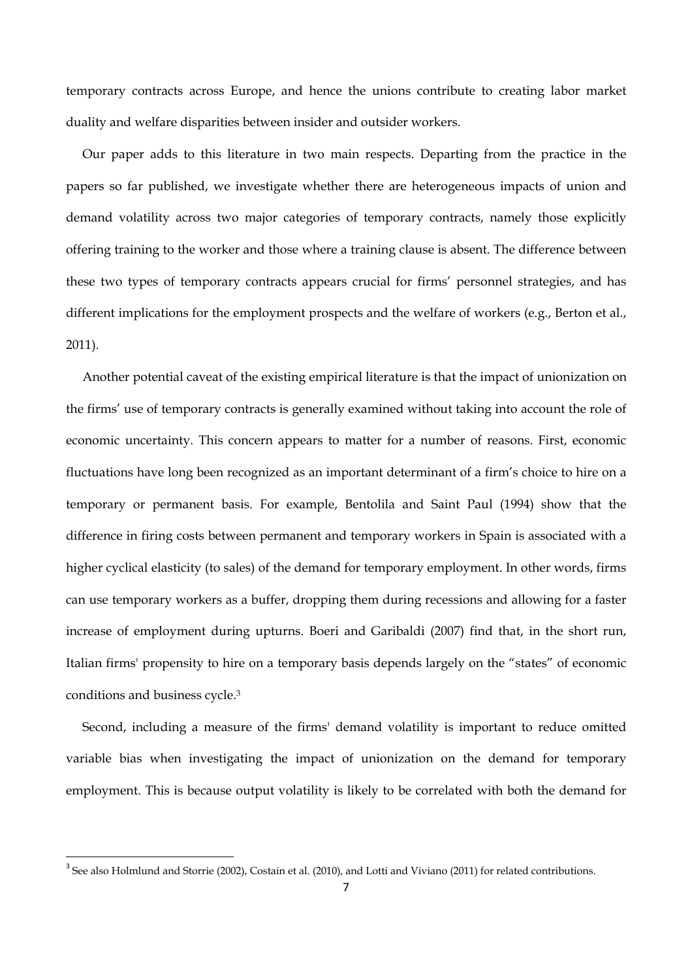temporary contracts across Europe, and hence the unions contribute to creating labor market duality and welfare disparities between insider and outsider workers.

Our paper adds to this literature in two main respects. Departing from the practice in the papers so far published, we investigate whether there are heterogeneous impacts of union and demand volatility across two major categories of temporary contracts, namely those explicitly offering training to the worker and those where a training clause is absent. The difference between these two types of temporary contracts appears crucial for firms' personnel strategies, and has different implications for the employment prospects and the welfare of workers (e.g., Berton et al., 2011).

Another potential caveat of the existing empirical literature is that the impact of unionization on the firms' use of temporary contracts is generally examined without taking into account the role of economic uncertainty. This concern appears to matter for a number of reasons. First, economic fluctuations have long been recognized as an important determinant of a firm's choice to hire on a temporary or permanent basis. For example, Bentolila and Saint Paul (1994) show that the difference in firing costs between permanent and temporary workers in Spain is associated with a higher cyclical elasticity (to sales) of the demand for temporary employment. In other words, firms can use temporary workers as a buffer, dropping them during recessions and allowing for a faster increase of employment during upturns. Boeri and Garibaldi (2007) find that, in the short run, Italian firms' propensity to hire on a temporary basis depends largely on the "states" of economic conditions and business cycle.3

Second, including a measure of the firms' demand volatility is important to reduce omitted variable bias when investigating the impact of unionization on the demand for temporary employment. This is because output volatility is likely to be correlated with both the demand for

 $3$  See also Holmlund and Storrie (2002), Costain et al. (2010), and Lotti and Viviano (2011) for related contributions.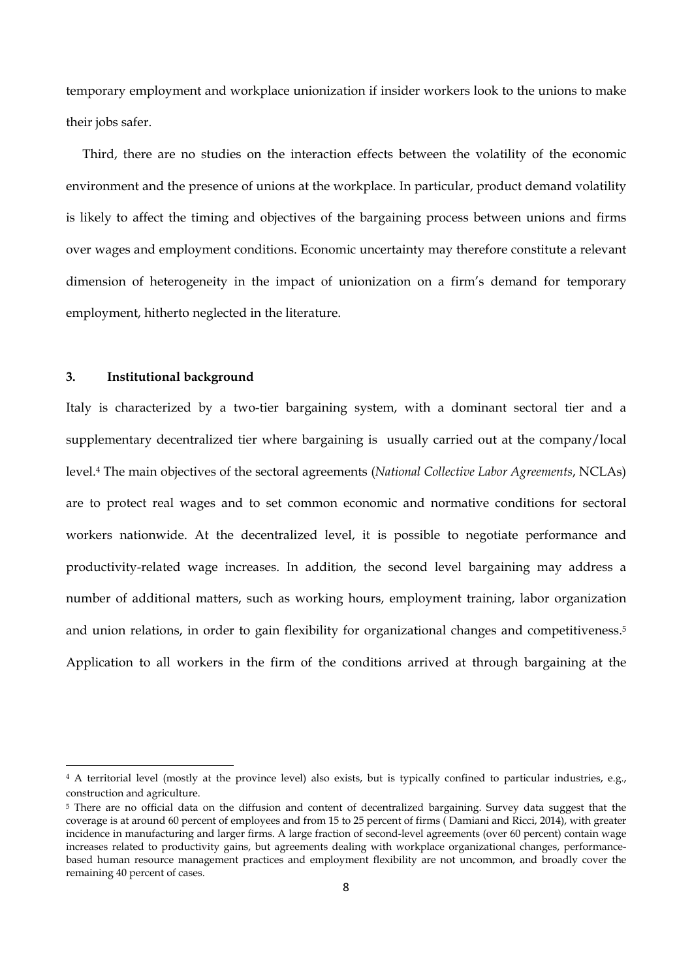temporary employment and workplace unionization if insider workers look to the unions to make their jobs safer.

Third, there are no studies on the interaction effects between the volatility of the economic environment and the presence of unions at the workplace. In particular, product demand volatility is likely to affect the timing and objectives of the bargaining process between unions and firms over wages and employment conditions. Economic uncertainty may therefore constitute a relevant dimension of heterogeneity in the impact of unionization on a firm's demand for temporary employment, hitherto neglected in the literature.

#### **3. Institutional background**

Italy is characterized by a two-tier bargaining system, with a dominant sectoral tier and a supplementary decentralized tier where bargaining is usually carried out at the company/local level.4 The main objectives of the sectoral agreements (*National Collective Labor Agreements*, NCLAs) are to protect real wages and to set common economic and normative conditions for sectoral workers nationwide. At the decentralized level, it is possible to negotiate performance and productivity-related wage increases. In addition, the second level bargaining may address a number of additional matters, such as working hours, employment training, labor organization and union relations, in order to gain flexibility for organizational changes and competitiveness.<sup>5</sup> Application to all workers in the firm of the conditions arrived at through bargaining at the

<sup>4</sup> A territorial level (mostly at the province level) also exists, but is typically confined to particular industries, e.g., construction and agriculture.

<sup>&</sup>lt;sup>5</sup> There are no official data on the diffusion and content of decentralized bargaining. Survey data suggest that the coverage is at around 60 percent of employees and from 15 to 25 percent of firms ( Damiani and Ricci, 2014), with greater incidence in manufacturing and larger firms. A large fraction of second-level agreements (over 60 percent) contain wage increases related to productivity gains, but agreements dealing with workplace organizational changes, performancebased human resource management practices and employment flexibility are not uncommon, and broadly cover the remaining 40 percent of cases.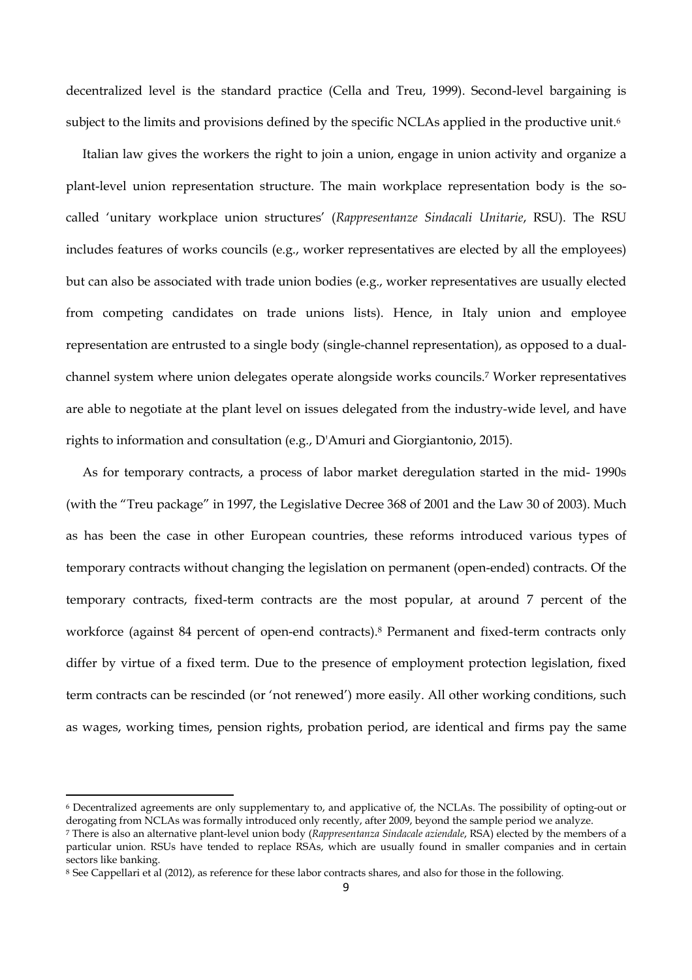decentralized level is the standard practice (Cella and Treu, 1999). Second-level bargaining is subject to the limits and provisions defined by the specific NCLAs applied in the productive unit.<sup>6</sup>

Italian law gives the workers the right to join a union, engage in union activity and organize a plant-level union representation structure. The main workplace representation body is the socalled 'unitary workplace union structures' (*Rappresentanze Sindacali Unitarie*, RSU). The RSU includes features of works councils (e.g., worker representatives are elected by all the employees) but can also be associated with trade union bodies (e.g., worker representatives are usually elected from competing candidates on trade unions lists). Hence, in Italy union and employee representation are entrusted to a single body (single-channel representation), as opposed to a dualchannel system where union delegates operate alongside works councils.7 Worker representatives are able to negotiate at the plant level on issues delegated from the industry-wide level, and have rights to information and consultation (e.g., D'Amuri and Giorgiantonio, 2015).

As for temporary contracts, a process of labor market deregulation started in the mid- 1990s (with the "Treu package" in 1997, the Legislative Decree 368 of 2001 and the Law 30 of 2003). Much as has been the case in other European countries, these reforms introduced various types of temporary contracts without changing the legislation on permanent (open-ended) contracts. Of the temporary contracts, fixed-term contracts are the most popular, at around 7 percent of the workforce (against 84 percent of open-end contracts).8 Permanent and fixed-term contracts only differ by virtue of a fixed term. Due to the presence of employment protection legislation, fixed term contracts can be rescinded (or 'not renewed') more easily. All other working conditions, such as wages, working times, pension rights, probation period, are identical and firms pay the same

<sup>6</sup> Decentralized agreements are only supplementary to, and applicative of, the NCLAs. The possibility of opting-out or derogating from NCLAs was formally introduced only recently, after 2009, beyond the sample period we analyze.

<sup>7</sup> There is also an alternative plant-level union body (*Rappresentanza Sindacale aziendale*, RSA) elected by the members of a particular union. RSUs have tended to replace RSAs, which are usually found in smaller companies and in certain sectors like banking.

<sup>8</sup> See Cappellari et al (2012), as reference for these labor contracts shares, and also for those in the following.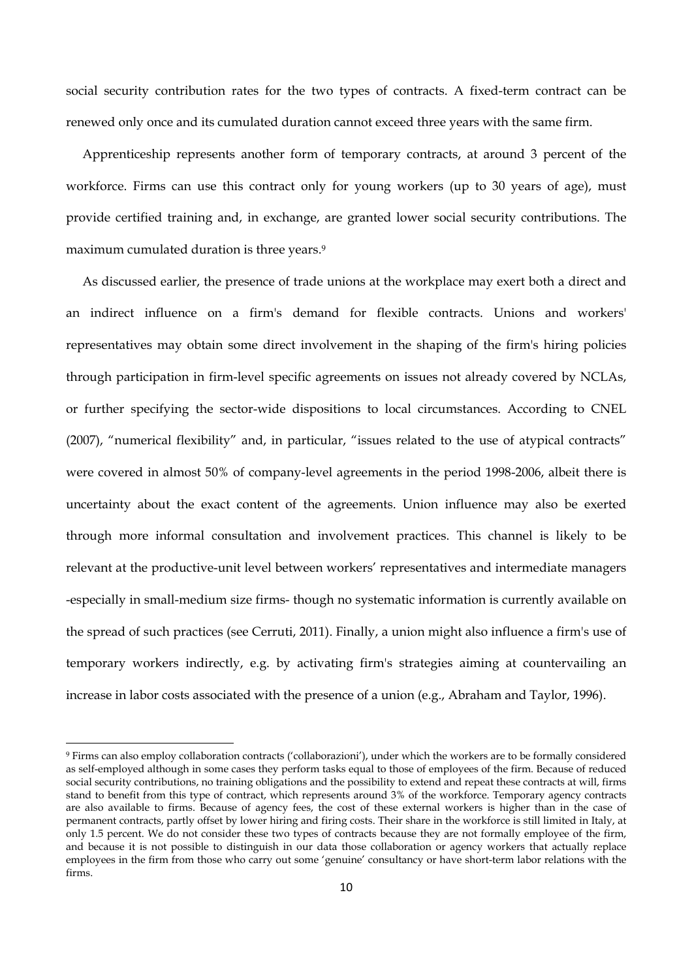social security contribution rates for the two types of contracts. A fixed-term contract can be renewed only once and its cumulated duration cannot exceed three years with the same firm.

Apprenticeship represents another form of temporary contracts, at around 3 percent of the workforce. Firms can use this contract only for young workers (up to 30 years of age), must provide certified training and, in exchange, are granted lower social security contributions. The maximum cumulated duration is three years.<sup>9</sup>

As discussed earlier, the presence of trade unions at the workplace may exert both a direct and an indirect influence on a firm's demand for flexible contracts. Unions and workers' representatives may obtain some direct involvement in the shaping of the firm's hiring policies through participation in firm-level specific agreements on issues not already covered by NCLAs, or further specifying the sector-wide dispositions to local circumstances. According to CNEL (2007), "numerical flexibility" and, in particular, "issues related to the use of atypical contracts" were covered in almost 50% of company-level agreements in the period 1998-2006, albeit there is uncertainty about the exact content of the agreements. Union influence may also be exerted through more informal consultation and involvement practices. This channel is likely to be relevant at the productive-unit level between workers' representatives and intermediate managers -especially in small-medium size firms- though no systematic information is currently available on the spread of such practices (see Cerruti, 2011). Finally, a union might also influence a firm's use of temporary workers indirectly, e.g. by activating firm's strategies aiming at countervailing an increase in labor costs associated with the presence of a union (e.g., Abraham and Taylor, 1996).

<sup>9</sup> Firms can also employ collaboration contracts ('collaborazioni'), under which the workers are to be formally considered as self-employed although in some cases they perform tasks equal to those of employees of the firm. Because of reduced social security contributions, no training obligations and the possibility to extend and repeat these contracts at will, firms stand to benefit from this type of contract, which represents around 3% of the workforce. Temporary agency contracts are also available to firms. Because of agency fees, the cost of these external workers is higher than in the case of permanent contracts, partly offset by lower hiring and firing costs. Their share in the workforce is still limited in Italy, at only 1.5 percent. We do not consider these two types of contracts because they are not formally employee of the firm, and because it is not possible to distinguish in our data those collaboration or agency workers that actually replace employees in the firm from those who carry out some 'genuine' consultancy or have short-term labor relations with the firms.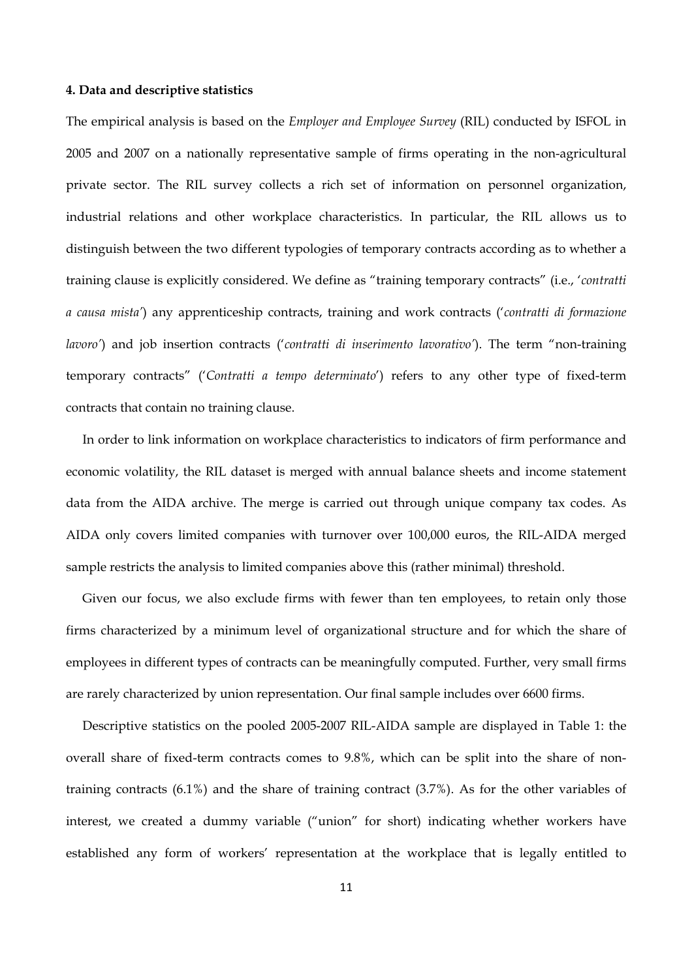#### **4. Data and descriptive statistics**

The empirical analysis is based on the *Employer and Employee Survey* (RIL) conducted by ISFOL in 2005 and 2007 on a nationally representative sample of firms operating in the non-agricultural private sector. The RIL survey collects a rich set of information on personnel organization, industrial relations and other workplace characteristics. In particular, the RIL allows us to distinguish between the two different typologies of temporary contracts according as to whether a training clause is explicitly considered. We define as "training temporary contracts" (i.e., '*contratti a causa mista'*) any apprenticeship contracts, training and work contracts ('*contratti di formazione lavoro'*) and job insertion contracts ('*contratti di inserimento lavorativo'*). The term "non-training temporary contracts" ('*Contratti a tempo determinato*') refers to any other type of fixed-term contracts that contain no training clause.

In order to link information on workplace characteristics to indicators of firm performance and economic volatility, the RIL dataset is merged with annual balance sheets and income statement data from the AIDA archive. The merge is carried out through unique company tax codes. As AIDA only covers limited companies with turnover over 100,000 euros, the RIL-AIDA merged sample restricts the analysis to limited companies above this (rather minimal) threshold.

Given our focus, we also exclude firms with fewer than ten employees, to retain only those firms characterized by a minimum level of organizational structure and for which the share of employees in different types of contracts can be meaningfully computed. Further, very small firms are rarely characterized by union representation. Our final sample includes over 6600 firms.

Descriptive statistics on the pooled 2005-2007 RIL-AIDA sample are displayed in Table 1: the overall share of fixed-term contracts comes to 9.8%, which can be split into the share of nontraining contracts (6.1%) and the share of training contract (3.7%). As for the other variables of interest, we created a dummy variable ("union" for short) indicating whether workers have established any form of workers' representation at the workplace that is legally entitled to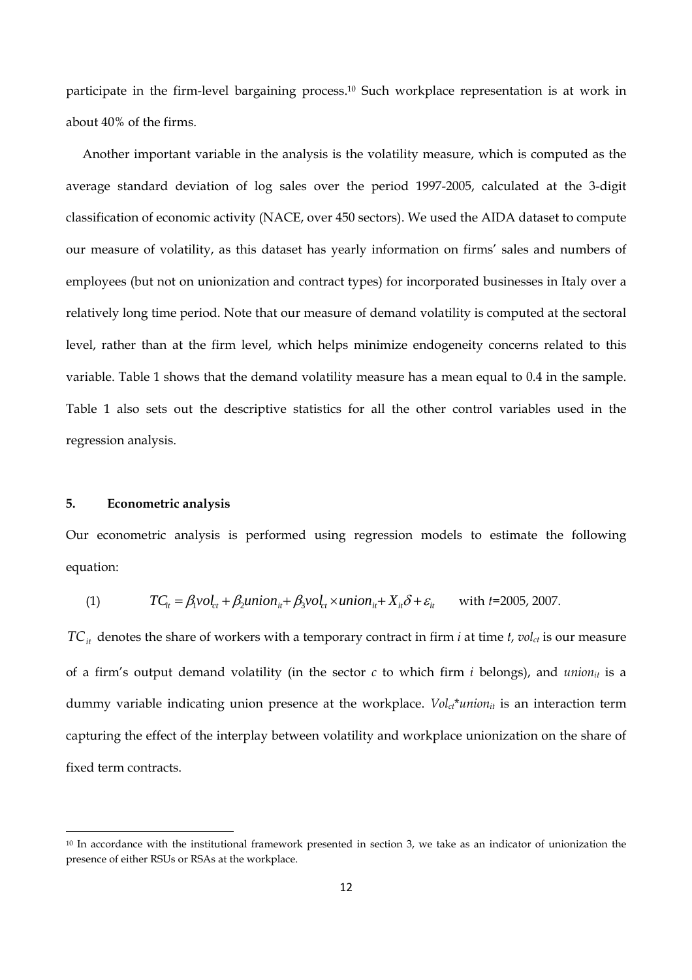participate in the firm-level bargaining process.<sup>10</sup> Such workplace representation is at work in about 40% of the firms.

Another important variable in the analysis is the volatility measure, which is computed as the average standard deviation of log sales over the period 1997-2005, calculated at the 3-digit classification of economic activity (NACE, over 450 sectors). We used the AIDA dataset to compute our measure of volatility, as this dataset has yearly information on firms' sales and numbers of employees (but not on unionization and contract types) for incorporated businesses in Italy over a relatively long time period. Note that our measure of demand volatility is computed at the sectoral level, rather than at the firm level, which helps minimize endogeneity concerns related to this variable. Table 1 shows that the demand volatility measure has a mean equal to 0.4 in the sample. Table 1 also sets out the descriptive statistics for all the other control variables used in the regression analysis.

#### **5. Econometric analysis**

Our econometric analysis is performed using regression models to estimate the following equation:

(1) 
$$
TC_{it} = \beta_1 vol_{ct} + \beta_2 union_{it} + \beta_3 vol_{ct} \times union_{it} + X_{it} \delta + \varepsilon_{it} \quad \text{with } t = 2005, 2007.
$$

 $TC_{it}$  denotes the share of workers with a temporary contract in firm *i* at time *t*, *vol<sub>ct</sub>* is our measure of a firm's output demand volatility (in the sector  $c$  to which firm  $i$  belongs), and *union*<sub>it</sub> is a dummy variable indicating union presence at the workplace. *Vol<sub>ct</sub>\*union<sub>it</sub>* is an interaction term capturing the effect of the interplay between volatility and workplace unionization on the share of fixed term contracts.

<sup>10</sup> In accordance with the institutional framework presented in section 3, we take as an indicator of unionization the presence of either RSUs or RSAs at the workplace.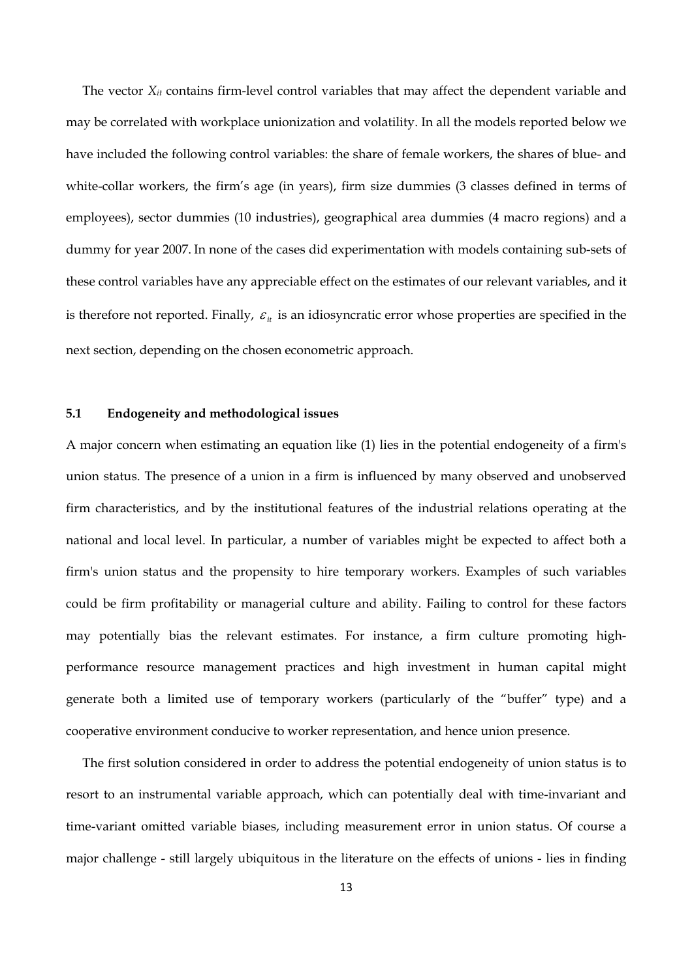The vector  $X_{it}$  contains firm-level control variables that may affect the dependent variable and may be correlated with workplace unionization and volatility. In all the models reported below we have included the following control variables: the share of female workers, the shares of blue- and white-collar workers, the firm's age (in years), firm size dummies (3 classes defined in terms of employees), sector dummies (10 industries), geographical area dummies (4 macro regions) and a dummy for year 2007. In none of the cases did experimentation with models containing sub-sets of these control variables have any appreciable effect on the estimates of our relevant variables, and it is therefore not reported. Finally,  $\varepsilon$ <sub>*it*</sub> is an idiosyncratic error whose properties are specified in the next section, depending on the chosen econometric approach.

#### **5.1 Endogeneity and methodological issues**

A major concern when estimating an equation like (1) lies in the potential endogeneity of a firm's union status. The presence of a union in a firm is influenced by many observed and unobserved firm characteristics, and by the institutional features of the industrial relations operating at the national and local level. In particular, a number of variables might be expected to affect both a firm's union status and the propensity to hire temporary workers. Examples of such variables could be firm profitability or managerial culture and ability. Failing to control for these factors may potentially bias the relevant estimates. For instance, a firm culture promoting highperformance resource management practices and high investment in human capital might generate both a limited use of temporary workers (particularly of the "buffer" type) and a cooperative environment conducive to worker representation, and hence union presence.

The first solution considered in order to address the potential endogeneity of union status is to resort to an instrumental variable approach, which can potentially deal with time-invariant and time-variant omitted variable biases, including measurement error in union status. Of course a major challenge - still largely ubiquitous in the literature on the effects of unions - lies in finding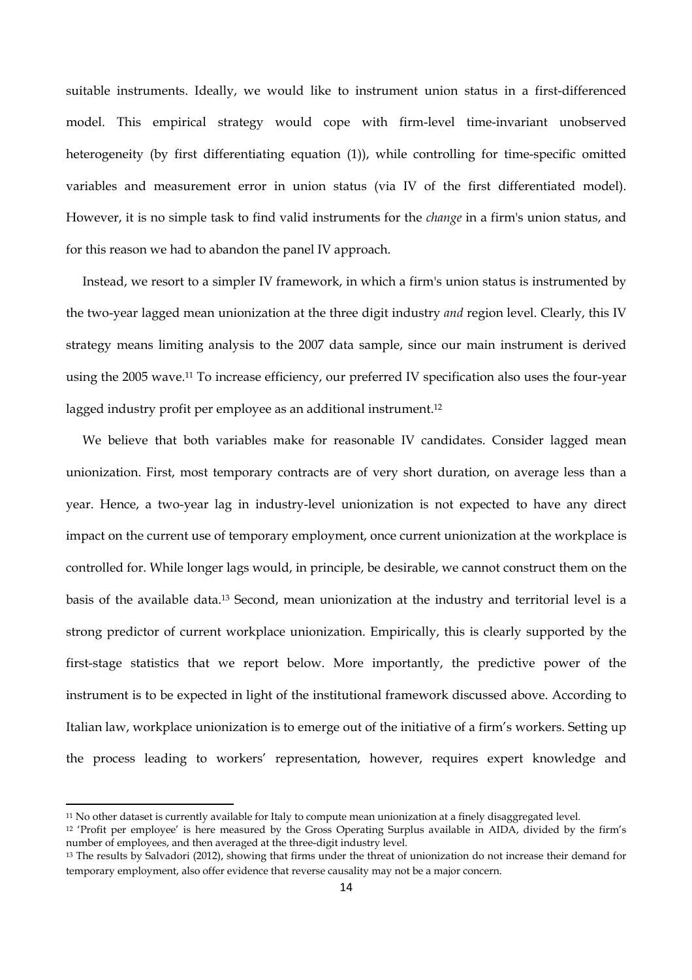suitable instruments. Ideally, we would like to instrument union status in a first-differenced model. This empirical strategy would cope with firm-level time-invariant unobserved heterogeneity (by first differentiating equation (1)), while controlling for time-specific omitted variables and measurement error in union status (via IV of the first differentiated model). However, it is no simple task to find valid instruments for the *change* in a firm's union status, and for this reason we had to abandon the panel IV approach.

Instead, we resort to a simpler IV framework, in which a firm's union status is instrumented by the two-year lagged mean unionization at the three digit industry *and* region level. Clearly, this IV strategy means limiting analysis to the 2007 data sample, since our main instrument is derived using the 2005 wave.11 To increase efficiency, our preferred IV specification also uses the four-year lagged industry profit per employee as an additional instrument.<sup>12</sup>

We believe that both variables make for reasonable IV candidates. Consider lagged mean unionization. First, most temporary contracts are of very short duration, on average less than a year. Hence, a two-year lag in industry-level unionization is not expected to have any direct impact on the current use of temporary employment, once current unionization at the workplace is controlled for. While longer lags would, in principle, be desirable, we cannot construct them on the basis of the available data.13 Second, mean unionization at the industry and territorial level is a strong predictor of current workplace unionization. Empirically, this is clearly supported by the first-stage statistics that we report below. More importantly, the predictive power of the instrument is to be expected in light of the institutional framework discussed above. According to Italian law, workplace unionization is to emerge out of the initiative of a firm's workers. Setting up the process leading to workers' representation, however, requires expert knowledge and

<sup>11</sup> No other dataset is currently available for Italy to compute mean unionization at a finely disaggregated level.

<sup>12 &#</sup>x27;Profit per employee' is here measured by the Gross Operating Surplus available in AIDA, divided by the firm's number of employees, and then averaged at the three-digit industry level.

<sup>13</sup> The results by Salvadori (2012), showing that firms under the threat of unionization do not increase their demand for temporary employment, also offer evidence that reverse causality may not be a major concern.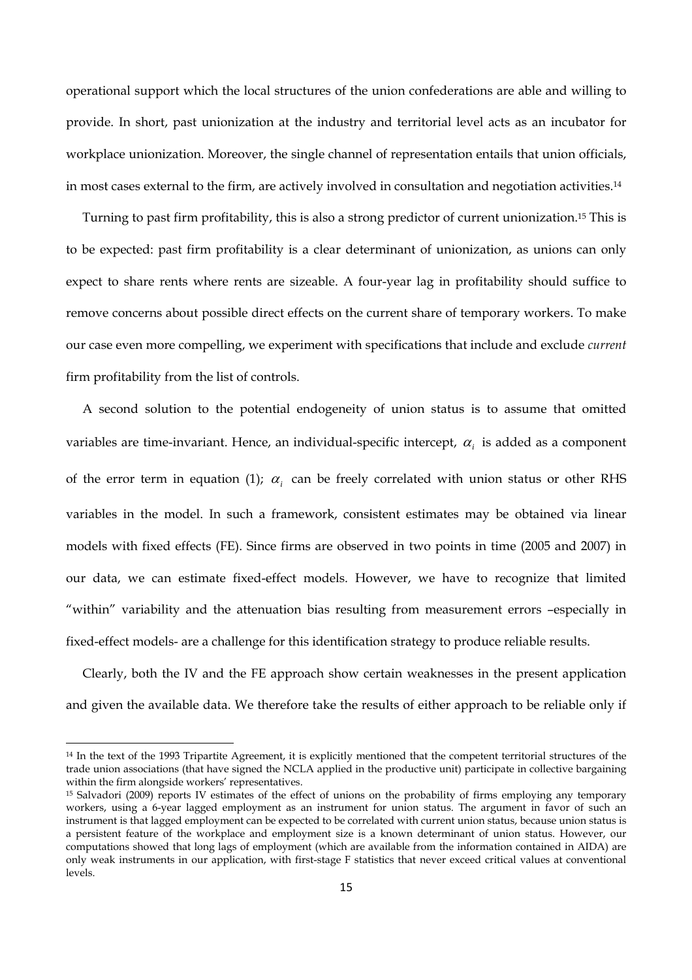operational support which the local structures of the union confederations are able and willing to provide. In short, past unionization at the industry and territorial level acts as an incubator for workplace unionization. Moreover, the single channel of representation entails that union officials, in most cases external to the firm, are actively involved in consultation and negotiation activities.14

Turning to past firm profitability, this is also a strong predictor of current unionization.15 This is to be expected: past firm profitability is a clear determinant of unionization, as unions can only expect to share rents where rents are sizeable. A four-year lag in profitability should suffice to remove concerns about possible direct effects on the current share of temporary workers. To make our case even more compelling, we experiment with specifications that include and exclude *current* firm profitability from the list of controls.

A second solution to the potential endogeneity of union status is to assume that omitted variables are time-invariant. Hence, an individual-specific intercept, <sup>α</sup> *<sup>i</sup>* is added as a component of the error term in equation (1);  $\alpha_i$  can be freely correlated with union status or other RHS variables in the model. In such a framework, consistent estimates may be obtained via linear models with fixed effects (FE). Since firms are observed in two points in time (2005 and 2007) in our data, we can estimate fixed-effect models. However, we have to recognize that limited "within" variability and the attenuation bias resulting from measurement errors –especially in fixed-effect models- are a challenge for this identification strategy to produce reliable results.

Clearly, both the IV and the FE approach show certain weaknesses in the present application and given the available data. We therefore take the results of either approach to be reliable only if

<sup>14</sup> In the text of the 1993 Tripartite Agreement, it is explicitly mentioned that the competent territorial structures of the trade union associations (that have signed the NCLA applied in the productive unit) participate in collective bargaining within the firm alongside workers' representatives.

<sup>15</sup> Salvadori (2009) reports IV estimates of the effect of unions on the probability of firms employing any temporary workers, using a 6-year lagged employment as an instrument for union status. The argument in favor of such an instrument is that lagged employment can be expected to be correlated with current union status, because union status is a persistent feature of the workplace and employment size is a known determinant of union status. However, our computations showed that long lags of employment (which are available from the information contained in AIDA) are only weak instruments in our application, with first-stage F statistics that never exceed critical values at conventional levels.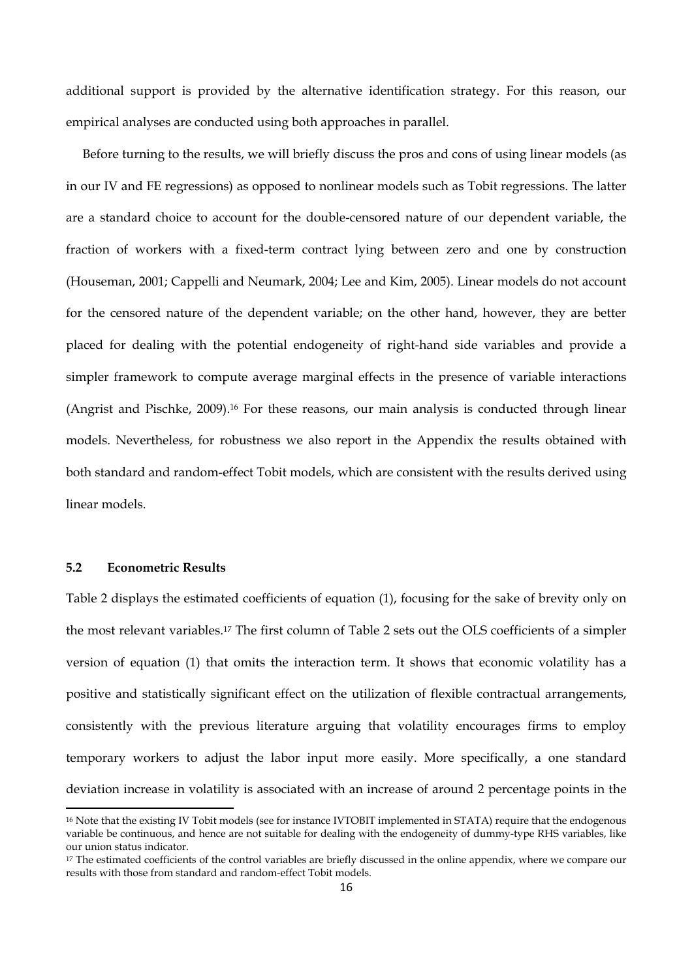additional support is provided by the alternative identification strategy. For this reason, our empirical analyses are conducted using both approaches in parallel.

Before turning to the results, we will briefly discuss the pros and cons of using linear models (as in our IV and FE regressions) as opposed to nonlinear models such as Tobit regressions. The latter are a standard choice to account for the double-censored nature of our dependent variable, the fraction of workers with a fixed-term contract lying between zero and one by construction (Houseman, 2001; Cappelli and Neumark, 2004; Lee and Kim, 2005). Linear models do not account for the censored nature of the dependent variable; on the other hand, however, they are better placed for dealing with the potential endogeneity of right-hand side variables and provide a simpler framework to compute average marginal effects in the presence of variable interactions (Angrist and Pischke, 2009).16 For these reasons, our main analysis is conducted through linear models. Nevertheless, for robustness we also report in the Appendix the results obtained with both standard and random-effect Tobit models, which are consistent with the results derived using linear models.

#### **5.2 Econometric Results**

Table 2 displays the estimated coefficients of equation (1), focusing for the sake of brevity only on the most relevant variables.17 The first column of Table 2 sets out the OLS coefficients of a simpler version of equation (1) that omits the interaction term. It shows that economic volatility has a positive and statistically significant effect on the utilization of flexible contractual arrangements, consistently with the previous literature arguing that volatility encourages firms to employ temporary workers to adjust the labor input more easily. More specifically, a one standard deviation increase in volatility is associated with an increase of around 2 percentage points in the

<sup>&</sup>lt;sup>16</sup> Note that the existing IV Tobit models (see for instance IVTOBIT implemented in STATA) require that the endogenous variable be continuous, and hence are not suitable for dealing with the endogeneity of dummy-type RHS variables, like our union status indicator.

<sup>&</sup>lt;sup>17</sup> The estimated coefficients of the control variables are briefly discussed in the online appendix, where we compare our results with those from standard and random-effect Tobit models.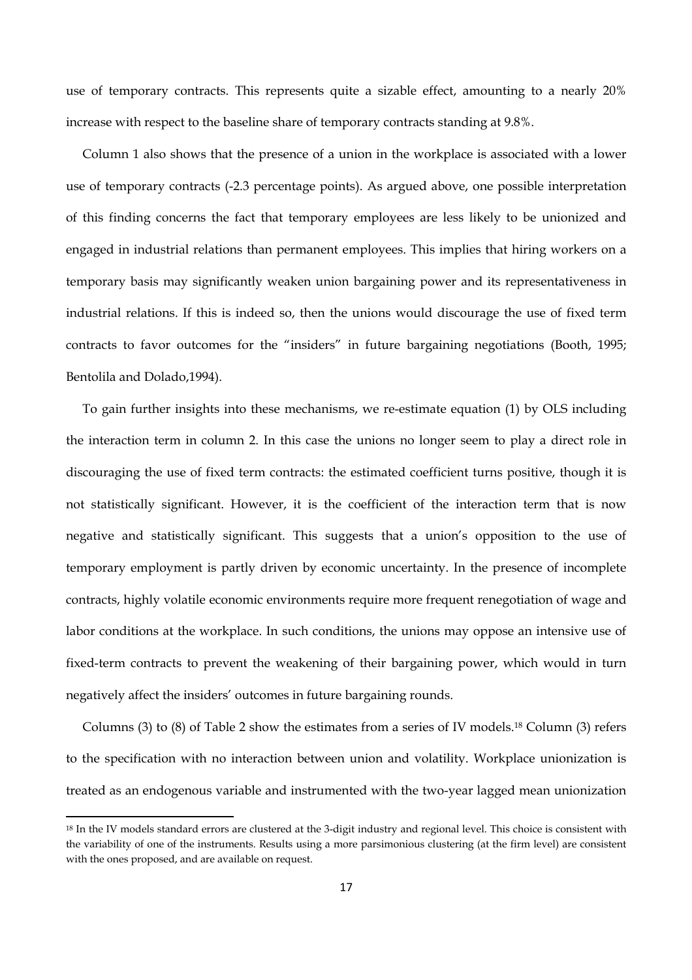use of temporary contracts. This represents quite a sizable effect, amounting to a nearly 20% increase with respect to the baseline share of temporary contracts standing at 9.8%.

Column 1 also shows that the presence of a union in the workplace is associated with a lower use of temporary contracts (-2.3 percentage points). As argued above, one possible interpretation of this finding concerns the fact that temporary employees are less likely to be unionized and engaged in industrial relations than permanent employees. This implies that hiring workers on a temporary basis may significantly weaken union bargaining power and its representativeness in industrial relations. If this is indeed so, then the unions would discourage the use of fixed term contracts to favor outcomes for the "insiders" in future bargaining negotiations (Booth, 1995; Bentolila and Dolado,1994).

To gain further insights into these mechanisms, we re-estimate equation (1) by OLS including the interaction term in column 2. In this case the unions no longer seem to play a direct role in discouraging the use of fixed term contracts: the estimated coefficient turns positive, though it is not statistically significant. However, it is the coefficient of the interaction term that is now negative and statistically significant. This suggests that a union's opposition to the use of temporary employment is partly driven by economic uncertainty. In the presence of incomplete contracts, highly volatile economic environments require more frequent renegotiation of wage and labor conditions at the workplace. In such conditions, the unions may oppose an intensive use of fixed-term contracts to prevent the weakening of their bargaining power, which would in turn negatively affect the insiders' outcomes in future bargaining rounds.

Columns (3) to (8) of Table 2 show the estimates from a series of IV models.18 Column (3) refers to the specification with no interaction between union and volatility. Workplace unionization is treated as an endogenous variable and instrumented with the two-year lagged mean unionization

<sup>18</sup> In the IV models standard errors are clustered at the 3-digit industry and regional level. This choice is consistent with the variability of one of the instruments. Results using a more parsimonious clustering (at the firm level) are consistent with the ones proposed, and are available on request.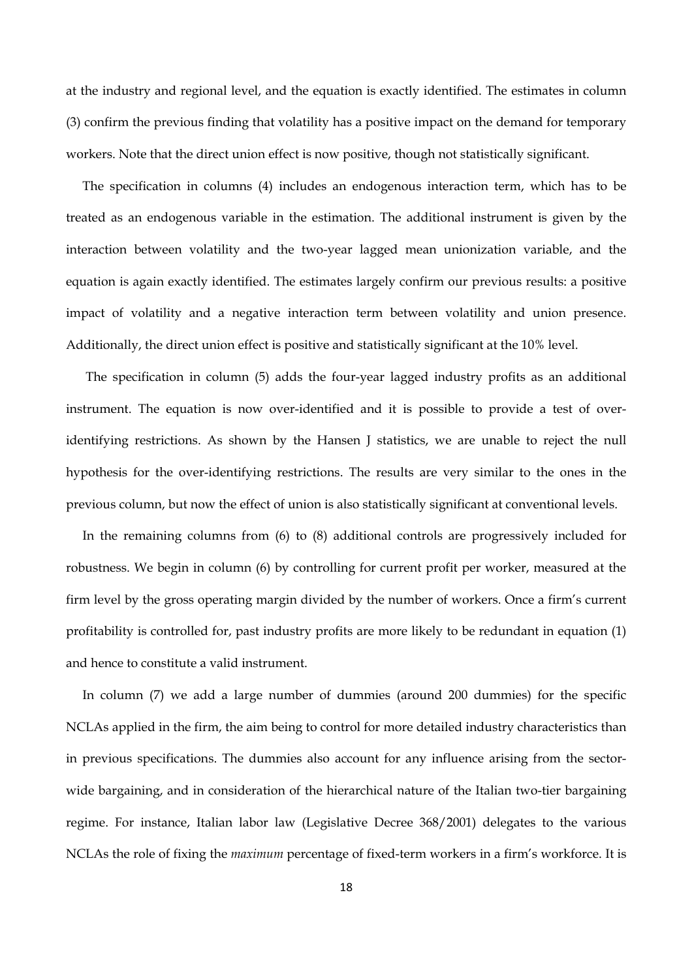at the industry and regional level, and the equation is exactly identified. The estimates in column (3) confirm the previous finding that volatility has a positive impact on the demand for temporary workers. Note that the direct union effect is now positive, though not statistically significant.

The specification in columns (4) includes an endogenous interaction term, which has to be treated as an endogenous variable in the estimation. The additional instrument is given by the interaction between volatility and the two-year lagged mean unionization variable, and the equation is again exactly identified. The estimates largely confirm our previous results: a positive impact of volatility and a negative interaction term between volatility and union presence. Additionally, the direct union effect is positive and statistically significant at the 10% level.

 The specification in column (5) adds the four-year lagged industry profits as an additional instrument. The equation is now over-identified and it is possible to provide a test of overidentifying restrictions. As shown by the Hansen J statistics, we are unable to reject the null hypothesis for the over-identifying restrictions. The results are very similar to the ones in the previous column, but now the effect of union is also statistically significant at conventional levels.

In the remaining columns from (6) to (8) additional controls are progressively included for robustness. We begin in column (6) by controlling for current profit per worker, measured at the firm level by the gross operating margin divided by the number of workers. Once a firm's current profitability is controlled for, past industry profits are more likely to be redundant in equation (1) and hence to constitute a valid instrument.

In column (7) we add a large number of dummies (around 200 dummies) for the specific NCLAs applied in the firm, the aim being to control for more detailed industry characteristics than in previous specifications. The dummies also account for any influence arising from the sectorwide bargaining, and in consideration of the hierarchical nature of the Italian two-tier bargaining regime. For instance, Italian labor law (Legislative Decree 368/2001) delegates to the various NCLAs the role of fixing the *maximum* percentage of fixed-term workers in a firm's workforce. It is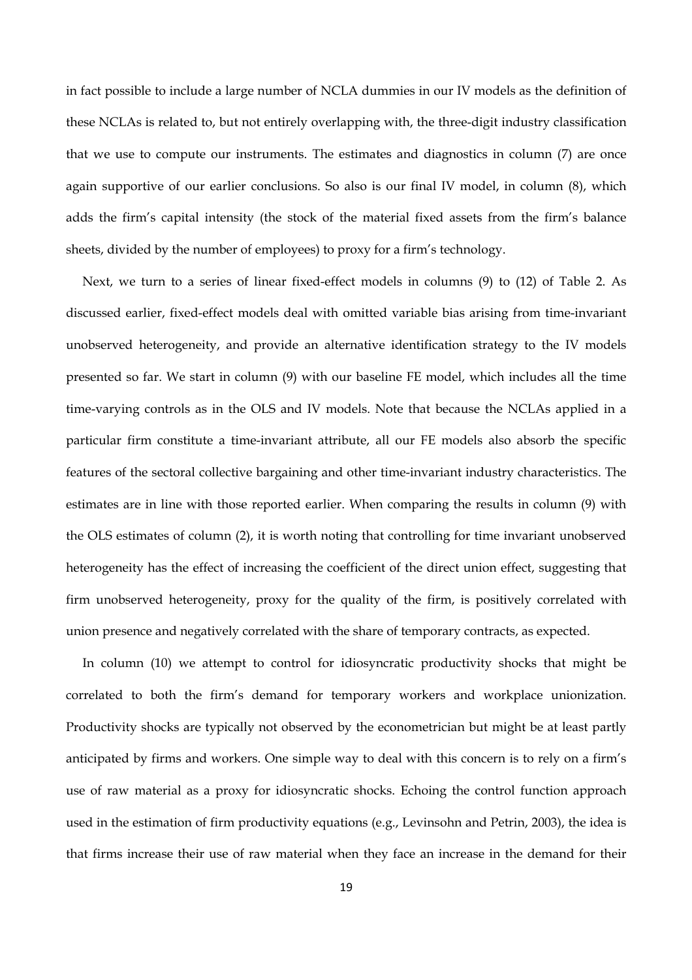in fact possible to include a large number of NCLA dummies in our IV models as the definition of these NCLAs is related to, but not entirely overlapping with, the three-digit industry classification that we use to compute our instruments. The estimates and diagnostics in column (7) are once again supportive of our earlier conclusions. So also is our final IV model, in column (8), which adds the firm's capital intensity (the stock of the material fixed assets from the firm's balance sheets, divided by the number of employees) to proxy for a firm's technology.

Next, we turn to a series of linear fixed-effect models in columns (9) to (12) of Table 2. As discussed earlier, fixed-effect models deal with omitted variable bias arising from time-invariant unobserved heterogeneity, and provide an alternative identification strategy to the IV models presented so far. We start in column (9) with our baseline FE model, which includes all the time time-varying controls as in the OLS and IV models. Note that because the NCLAs applied in a particular firm constitute a time-invariant attribute, all our FE models also absorb the specific features of the sectoral collective bargaining and other time-invariant industry characteristics. The estimates are in line with those reported earlier. When comparing the results in column (9) with the OLS estimates of column (2), it is worth noting that controlling for time invariant unobserved heterogeneity has the effect of increasing the coefficient of the direct union effect, suggesting that firm unobserved heterogeneity, proxy for the quality of the firm, is positively correlated with union presence and negatively correlated with the share of temporary contracts, as expected.

In column (10) we attempt to control for idiosyncratic productivity shocks that might be correlated to both the firm's demand for temporary workers and workplace unionization. Productivity shocks are typically not observed by the econometrician but might be at least partly anticipated by firms and workers. One simple way to deal with this concern is to rely on a firm's use of raw material as a proxy for idiosyncratic shocks. Echoing the control function approach used in the estimation of firm productivity equations (e.g., Levinsohn and Petrin, 2003), the idea is that firms increase their use of raw material when they face an increase in the demand for their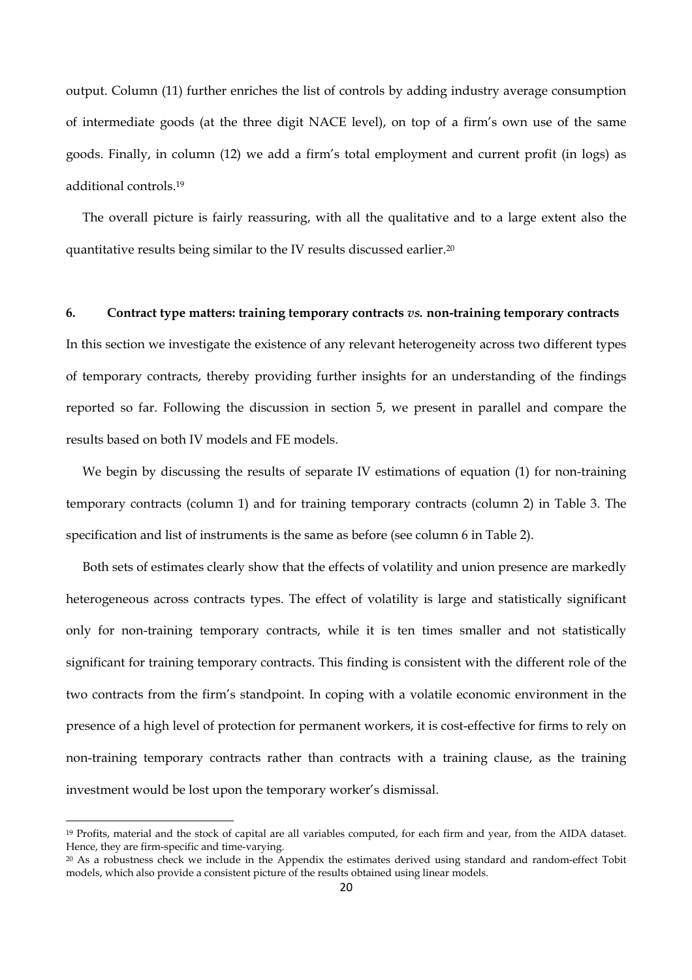output. Column (11) further enriches the list of controls by adding industry average consumption of intermediate goods (at the three digit NACE level), on top of a firm's own use of the same goods. Finally, in column (12) we add a firm's total employment and current profit (in logs) as additional controls.19

The overall picture is fairly reassuring, with all the qualitative and to a large extent also the quantitative results being similar to the IV results discussed earlier.20

#### **6. Contract type matters: training temporary contracts** *vs.* **non-training temporary contracts**

In this section we investigate the existence of any relevant heterogeneity across two different types of temporary contracts, thereby providing further insights for an understanding of the findings reported so far. Following the discussion in section 5, we present in parallel and compare the results based on both IV models and FE models.

We begin by discussing the results of separate IV estimations of equation (1) for non-training temporary contracts (column 1) and for training temporary contracts (column 2) in Table 3. The specification and list of instruments is the same as before (see column 6 in Table 2).

Both sets of estimates clearly show that the effects of volatility and union presence are markedly heterogeneous across contracts types. The effect of volatility is large and statistically significant only for non-training temporary contracts, while it is ten times smaller and not statistically significant for training temporary contracts. This finding is consistent with the different role of the two contracts from the firm's standpoint. In coping with a volatile economic environment in the presence of a high level of protection for permanent workers, it is cost-effective for firms to rely on non-training temporary contracts rather than contracts with a training clause, as the training investment would be lost upon the temporary worker's dismissal.

<sup>19</sup> Profits, material and the stock of capital are all variables computed, for each firm and year, from the AIDA dataset. Hence, they are firm-specific and time-varying.

<sup>20</sup> As a robustness check we include in the Appendix the estimates derived using standard and random-effect Tobit models, which also provide a consistent picture of the results obtained using linear models.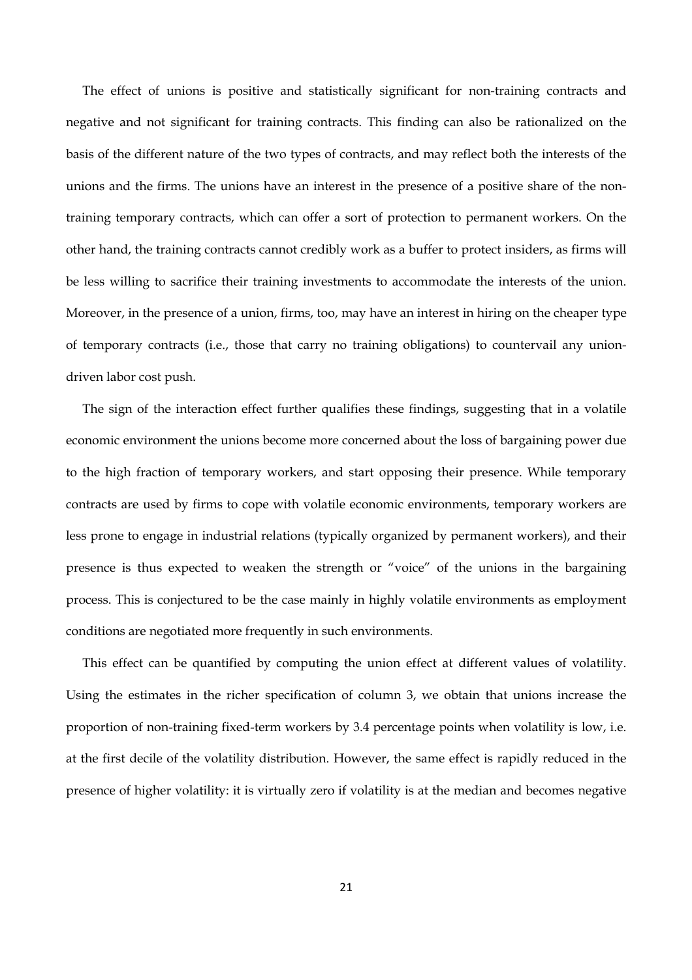The effect of unions is positive and statistically significant for non-training contracts and negative and not significant for training contracts. This finding can also be rationalized on the basis of the different nature of the two types of contracts, and may reflect both the interests of the unions and the firms. The unions have an interest in the presence of a positive share of the nontraining temporary contracts, which can offer a sort of protection to permanent workers. On the other hand, the training contracts cannot credibly work as a buffer to protect insiders, as firms will be less willing to sacrifice their training investments to accommodate the interests of the union. Moreover, in the presence of a union, firms, too, may have an interest in hiring on the cheaper type of temporary contracts (i.e., those that carry no training obligations) to countervail any uniondriven labor cost push.

The sign of the interaction effect further qualifies these findings, suggesting that in a volatile economic environment the unions become more concerned about the loss of bargaining power due to the high fraction of temporary workers, and start opposing their presence. While temporary contracts are used by firms to cope with volatile economic environments, temporary workers are less prone to engage in industrial relations (typically organized by permanent workers), and their presence is thus expected to weaken the strength or "voice" of the unions in the bargaining process. This is conjectured to be the case mainly in highly volatile environments as employment conditions are negotiated more frequently in such environments.

This effect can be quantified by computing the union effect at different values of volatility. Using the estimates in the richer specification of column 3, we obtain that unions increase the proportion of non-training fixed-term workers by 3.4 percentage points when volatility is low, i.e. at the first decile of the volatility distribution. However, the same effect is rapidly reduced in the presence of higher volatility: it is virtually zero if volatility is at the median and becomes negative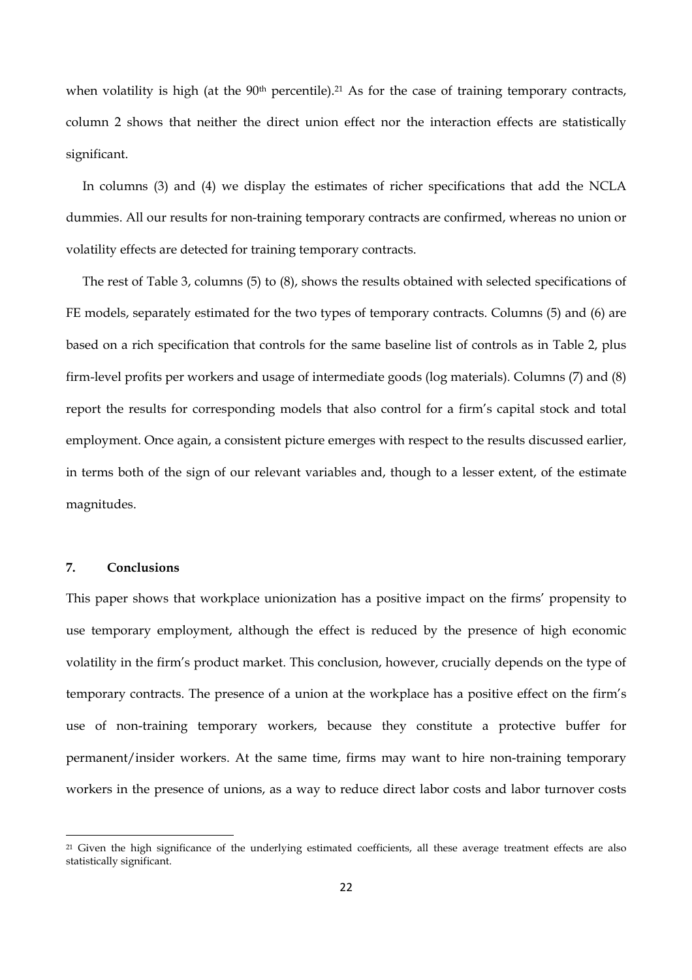when volatility is high (at the  $90<sup>th</sup>$  percentile).<sup>21</sup> As for the case of training temporary contracts, column 2 shows that neither the direct union effect nor the interaction effects are statistically significant.

In columns (3) and (4) we display the estimates of richer specifications that add the NCLA dummies. All our results for non-training temporary contracts are confirmed, whereas no union or volatility effects are detected for training temporary contracts.

The rest of Table 3, columns (5) to (8), shows the results obtained with selected specifications of FE models, separately estimated for the two types of temporary contracts. Columns (5) and (6) are based on a rich specification that controls for the same baseline list of controls as in Table 2, plus firm-level profits per workers and usage of intermediate goods (log materials). Columns (7) and (8) report the results for corresponding models that also control for a firm's capital stock and total employment. Once again, a consistent picture emerges with respect to the results discussed earlier, in terms both of the sign of our relevant variables and, though to a lesser extent, of the estimate magnitudes.

#### **7. Conclusions**

This paper shows that workplace unionization has a positive impact on the firms' propensity to use temporary employment, although the effect is reduced by the presence of high economic volatility in the firm's product market. This conclusion, however, crucially depends on the type of temporary contracts. The presence of a union at the workplace has a positive effect on the firm's use of non-training temporary workers, because they constitute a protective buffer for permanent/insider workers. At the same time, firms may want to hire non-training temporary workers in the presence of unions, as a way to reduce direct labor costs and labor turnover costs

<sup>&</sup>lt;sup>21</sup> Given the high significance of the underlying estimated coefficients, all these average treatment effects are also statistically significant.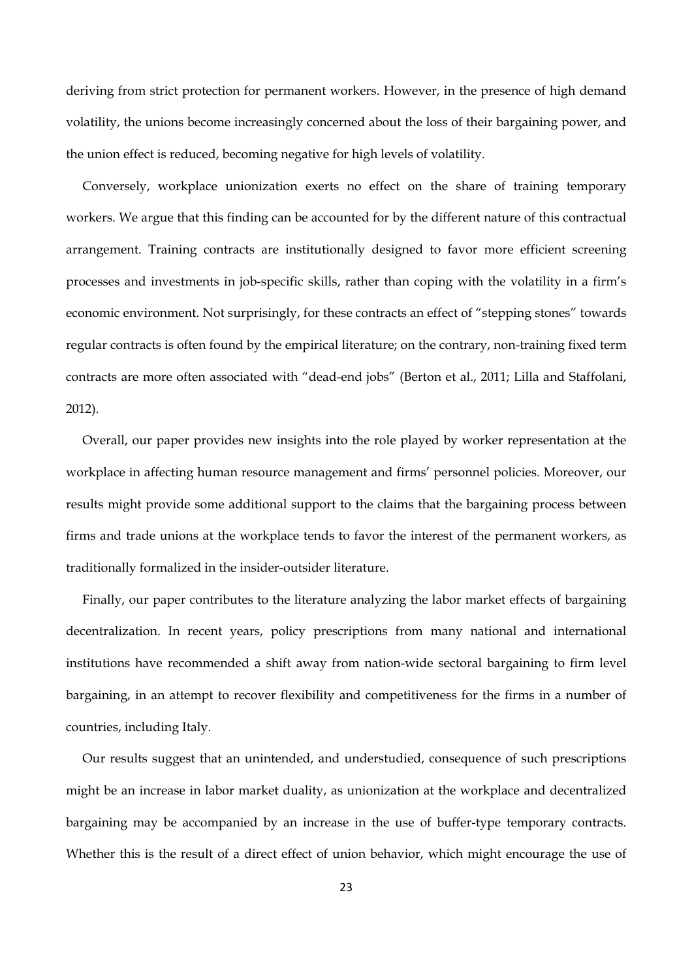deriving from strict protection for permanent workers. However, in the presence of high demand volatility, the unions become increasingly concerned about the loss of their bargaining power, and the union effect is reduced, becoming negative for high levels of volatility.

Conversely, workplace unionization exerts no effect on the share of training temporary workers. We argue that this finding can be accounted for by the different nature of this contractual arrangement. Training contracts are institutionally designed to favor more efficient screening processes and investments in job-specific skills, rather than coping with the volatility in a firm's economic environment. Not surprisingly, for these contracts an effect of "stepping stones" towards regular contracts is often found by the empirical literature; on the contrary, non-training fixed term contracts are more often associated with "dead-end jobs" (Berton et al., 2011; Lilla and Staffolani, 2012).

Overall, our paper provides new insights into the role played by worker representation at the workplace in affecting human resource management and firms' personnel policies. Moreover, our results might provide some additional support to the claims that the bargaining process between firms and trade unions at the workplace tends to favor the interest of the permanent workers, as traditionally formalized in the insider-outsider literature.

Finally, our paper contributes to the literature analyzing the labor market effects of bargaining decentralization. In recent years, policy prescriptions from many national and international institutions have recommended a shift away from nation-wide sectoral bargaining to firm level bargaining, in an attempt to recover flexibility and competitiveness for the firms in a number of countries, including Italy.

Our results suggest that an unintended, and understudied, consequence of such prescriptions might be an increase in labor market duality, as unionization at the workplace and decentralized bargaining may be accompanied by an increase in the use of buffer-type temporary contracts. Whether this is the result of a direct effect of union behavior, which might encourage the use of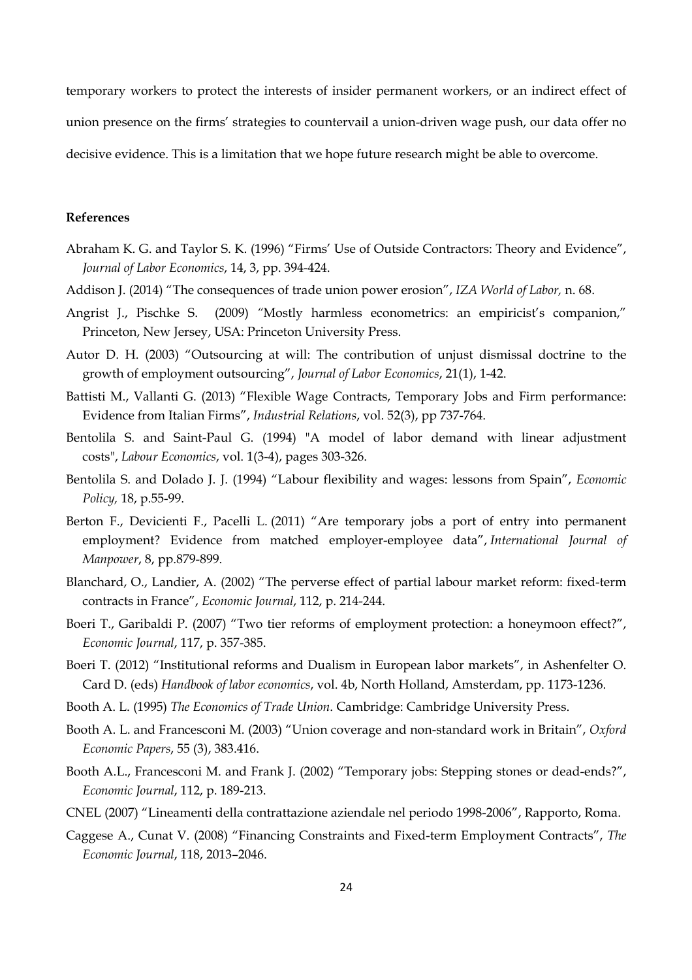temporary workers to protect the interests of insider permanent workers, or an indirect effect of union presence on the firms' strategies to countervail a union-driven wage push, our data offer no decisive evidence. This is a limitation that we hope future research might be able to overcome.

#### **References**

- Abraham K. G. and Taylor S. K. (1996) "Firms' Use of Outside Contractors: Theory and Evidence", *Journal of Labor Economics*, 14, 3, pp. 394-424.
- Addison J. (2014) "The consequences of trade union power erosion", *IZA World of Labor,* n. 68.
- Angrist J., Pischke S. (2009) *"*Mostly harmless econometrics: an empiricist's companion," Princeton, New Jersey, USA: Princeton University Press.
- Autor D. H. (2003) "Outsourcing at will: The contribution of unjust dismissal doctrine to the growth of employment outsourcing", *Journal of Labor Economics*, 21(1), 1-42.
- Battisti M., Vallanti G. (2013) "Flexible Wage Contracts, Temporary Jobs and Firm performance: Evidence from Italian Firms", *Industrial Relations*, vol. 52(3), pp 737-764.
- Bentolila S. and Saint-Paul G. (1994) "A model of labor demand with linear adjustment costs", *Labour Economics*, vol. 1(3-4), pages 303-326.
- Bentolila S. and Dolado J. J. (1994) "Labour flexibility and wages: lessons from Spain", *Economic Policy,* 18, p.55-99.
- Berton F., Devicienti F., Pacelli L. (2011) "Are temporary jobs a port of entry into permanent employment? Evidence from matched employer-employee data", *International Journal of Manpower*, 8, pp.879-899.
- Blanchard, O., Landier, A. (2002) "The perverse effect of partial labour market reform: fixed-term contracts in France", *Economic Journal*, 112, p. 214-244.
- Boeri T., Garibaldi P. (2007) "Two tier reforms of employment protection: a honeymoon effect?", *Economic Journal*, 117, p. 357-385.
- Boeri T. (2012) "Institutional reforms and Dualism in European labor markets", in Ashenfelter O. Card D. (eds) *Handbook of labor economics*, vol. 4b, North Holland, Amsterdam, pp. 1173-1236.
- Booth A. L. (1995) *The Economics of Trade Union*. Cambridge: Cambridge University Press.
- Booth A. L. and Francesconi M. (2003) "Union coverage and non-standard work in Britain", *Oxford Economic Papers*, 55 (3), 383.416.
- Booth A.L., Francesconi M. and Frank J. (2002) "Temporary jobs: Stepping stones or dead-ends?", *Economic Journal*, 112, p. 189-213.
- CNEL (2007) "Lineamenti della contrattazione aziendale nel periodo 1998-2006", Rapporto, Roma.
- Caggese A., Cunat V. (2008) "Financing Constraints and Fixed-term Employment Contracts", *The Economic Journal*, 118, 2013–2046.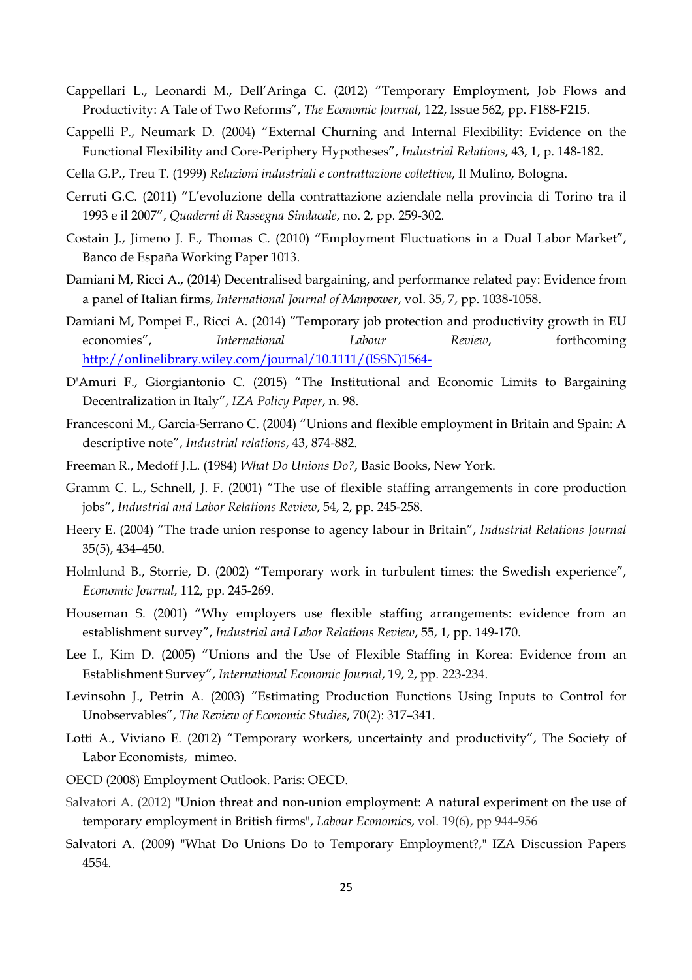- Cappellari L., Leonardi M., Dell'Aringa C. (2012) "Temporary Employment, Job Flows and Productivity: A Tale of Two Reforms", *The Economic Journal*, 122, Issue 562, pp. F188-F215.
- Cappelli P., Neumark D. (2004) "External Churning and Internal Flexibility: Evidence on the Functional Flexibility and Core-Periphery Hypotheses", *Industrial Relations*, 43, 1, p. 148-182.
- Cella G.P., Treu T. (1999) *Relazioni industriali e contrattazione collettiva*, Il Mulino, Bologna.
- Cerruti G.C. (2011) "L'evoluzione della contrattazione aziendale nella provincia di Torino tra il 1993 e il 2007", *Quaderni di Rassegna Sindacale*, no. 2, pp. 259-302.
- Costain J., Jimeno J. F., Thomas C. (2010) "Employment Fluctuations in a Dual Labor Market", Banco de España Working Paper 1013.
- Damiani M, Ricci A., (2014) Decentralised bargaining, and performance related pay: Evidence from a panel of Italian firms, *International Journal of Manpower*, vol. 35, 7, pp. 1038-1058.
- Damiani M, Pompei F., Ricci A. (2014) "Temporary job protection and productivity growth in EU economies", *International Labour Review*, forthcoming http://onlinelibrary.wiley.com/journal/10.1111/(ISSN)1564-
- D'Amuri F., Giorgiantonio C. (2015) "The Institutional and Economic Limits to Bargaining Decentralization in Italy", *IZA Policy Paper*, n. 98.
- Francesconi M., Garcia-Serrano C. (2004) "Unions and flexible employment in Britain and Spain: A descriptive note", *Industrial relations*, 43, 874-882.
- Freeman R., Medoff J.L. (1984) *What Do Unions Do?*, Basic Books, New York.
- Gramm C. L., Schnell, J. F. (2001) "The use of flexible staffing arrangements in core production jobs", *Industrial and Labor Relations Review*, 54, 2, pp. 245-258.
- Heery E. (2004) "The trade union response to agency labour in Britain", *Industrial Relations Journal* 35(5), 434–450.
- Holmlund B., Storrie, D. (2002) "Temporary work in turbulent times: the Swedish experience", *Economic Journal*, 112, pp. 245-269.
- Houseman S. (2001) "Why employers use flexible staffing arrangements: evidence from an establishment survey", *Industrial and Labor Relations Review*, 55, 1, pp. 149-170.
- Lee I., Kim D. (2005) "Unions and the Use of Flexible Staffing in Korea: Evidence from an Establishment Survey", *International Economic Journal*, 19, 2, pp. 223-234.
- Levinsohn J., Petrin A. (2003) "Estimating Production Functions Using Inputs to Control for Unobservables", *The Review of Economic Studies*, 70(2): 317–341.
- Lotti A., Viviano E. (2012) "Temporary workers, uncertainty and productivity", The Society of Labor Economists, mimeo.
- OECD (2008) Employment Outlook. Paris: OECD.
- Salvatori A. (2012) "Union threat and non-union employment: A natural experiment on the use of temporary employment in British firms", *Labour Economics*, vol. 19(6), pp 944-956
- Salvatori A. (2009) "What Do Unions Do to Temporary Employment?," IZA Discussion Papers 4554.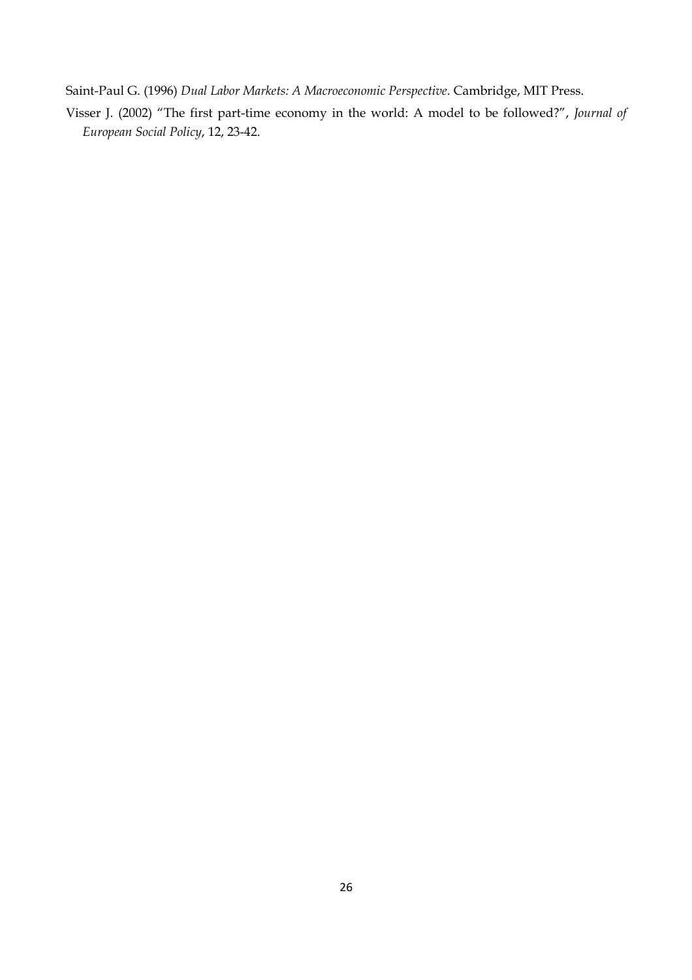Saint-Paul G. (1996) *Dual Labor Markets: A Macroeconomic Perspective*. Cambridge, MIT Press.

Visser J. (2002) "The first part-time economy in the world: A model to be followed?", *Journal of European Social Policy*, 12, 23-42.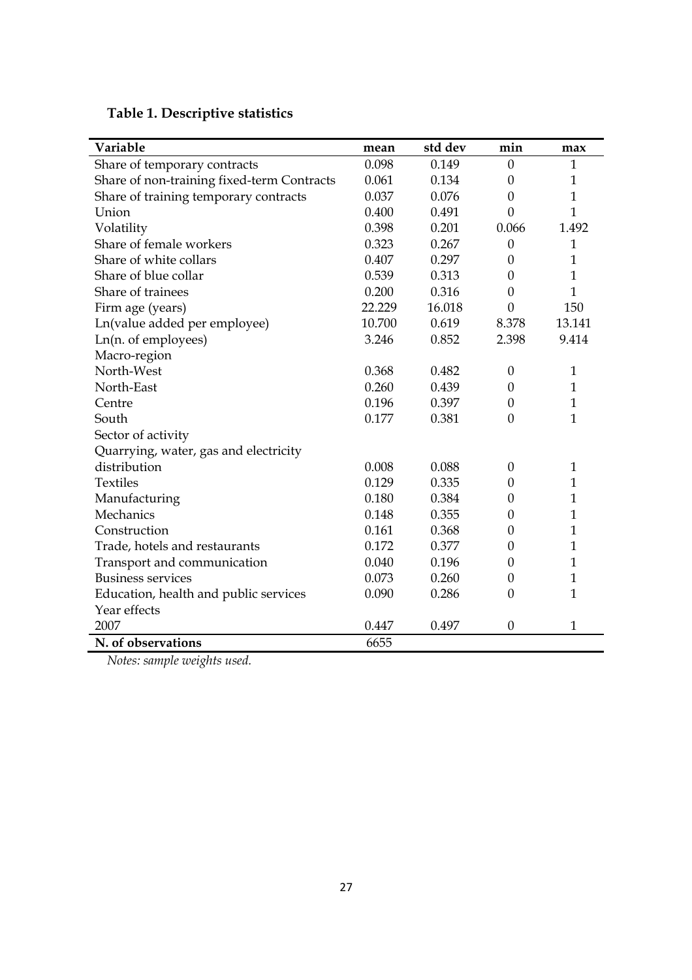**Table 1. Descriptive statistics** 

| Variable                                   | mean   | std dev | min            | max          |
|--------------------------------------------|--------|---------|----------------|--------------|
| Share of temporary contracts               | 0.098  | 0.149   | $\mathbf{0}$   | $\mathbf{1}$ |
| Share of non-training fixed-term Contracts | 0.061  | 0.134   | $\overline{0}$ | $\mathbf{1}$ |
| Share of training temporary contracts      | 0.037  | 0.076   | $\mathbf{0}$   | $\mathbf{1}$ |
| Union                                      | 0.400  | 0.491   | $\theta$       | $\mathbf{1}$ |
| Volatility                                 | 0.398  | 0.201   | 0.066          | 1.492        |
| Share of female workers                    | 0.323  | 0.267   | $\theta$       | $\mathbf{1}$ |
| Share of white collars                     | 0.407  | 0.297   | $\theta$       | $\mathbf{1}$ |
| Share of blue collar                       | 0.539  | 0.313   | $\theta$       | $\mathbf{1}$ |
| Share of trainees                          | 0.200  | 0.316   | $\overline{0}$ | $\mathbf{1}$ |
| Firm age (years)                           | 22.229 | 16.018  | $\overline{0}$ | 150          |
| Ln(value added per employee)               | 10.700 | 0.619   | 8.378          | 13.141       |
| Ln(n. of employees)                        | 3.246  | 0.852   | 2.398          | 9.414        |
| Macro-region                               |        |         |                |              |
| North-West                                 | 0.368  | 0.482   | $\theta$       | $\mathbf{1}$ |
| North-East                                 | 0.260  | 0.439   | $\theta$       | $\mathbf{1}$ |
| Centre                                     | 0.196  | 0.397   | $\theta$       | $\mathbf{1}$ |
| South                                      | 0.177  | 0.381   | $\overline{0}$ | $\mathbf{1}$ |
| Sector of activity                         |        |         |                |              |
| Quarrying, water, gas and electricity      |        |         |                |              |
| distribution                               | 0.008  | 0.088   | $\theta$       | $\mathbf{1}$ |
| <b>Textiles</b>                            | 0.129  | 0.335   | $\mathbf{0}$   | $\mathbf{1}$ |
| Manufacturing                              | 0.180  | 0.384   | $\theta$       | $\mathbf{1}$ |
| Mechanics                                  | 0.148  | 0.355   | $\theta$       | $\mathbf{1}$ |
| Construction                               | 0.161  | 0.368   | $\mathbf{0}$   | $\mathbf{1}$ |
| Trade, hotels and restaurants              | 0.172  | 0.377   | $\mathbf{0}$   | $\mathbf{1}$ |
| Transport and communication                | 0.040  | 0.196   | $\theta$       | $\mathbf{1}$ |
| <b>Business services</b>                   | 0.073  | 0.260   | $\theta$       | $\mathbf{1}$ |
| Education, health and public services      | 0.090  | 0.286   | $\overline{0}$ | $\mathbf{1}$ |
| Year effects                               |        |         |                |              |
| 2007                                       | 0.447  | 0.497   | $\theta$       | $\mathbf{1}$ |
| N. of observations                         | 6655   |         |                |              |

*Notes: sample weights used.*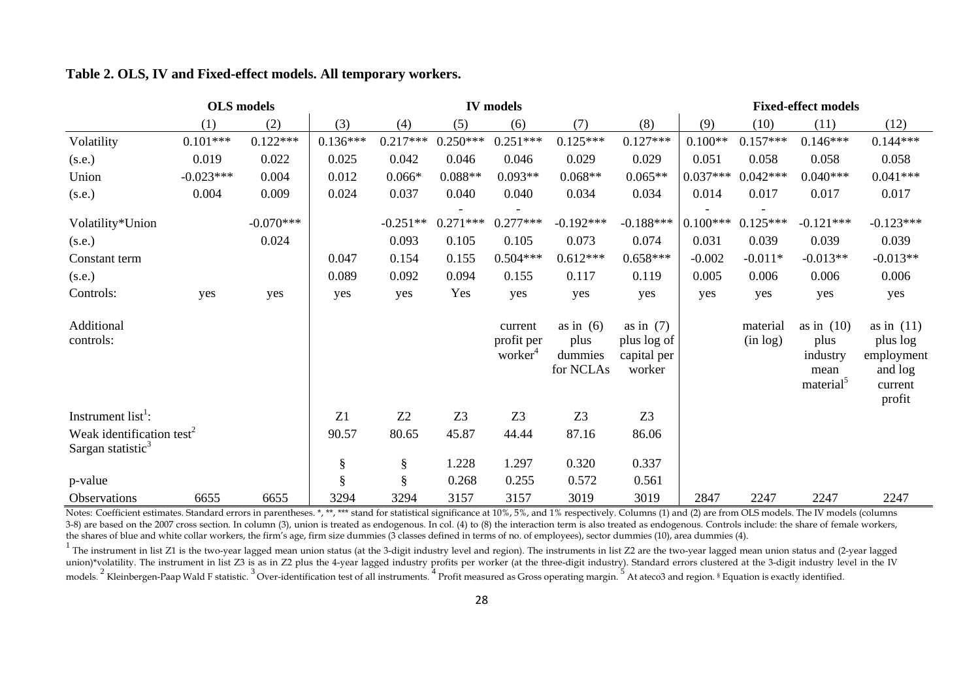|                                                                        | <b>OLS</b> models | <b>IV</b> models |            |            |                |                                              |                                             | <b>Fixed-effect models</b>                          |            |                      |                                                                   |                                                                        |
|------------------------------------------------------------------------|-------------------|------------------|------------|------------|----------------|----------------------------------------------|---------------------------------------------|-----------------------------------------------------|------------|----------------------|-------------------------------------------------------------------|------------------------------------------------------------------------|
|                                                                        | (1)               | (2)              | (3)        | (4)        | (5)            | (6)                                          | (7)                                         | (8)                                                 | (9)        | (10)                 | (11)                                                              | (12)                                                                   |
| Volatility                                                             | $0.101***$        | $0.122***$       | $0.136***$ | $0.217***$ | $0.250***$     | $0.251***$                                   | $0.125***$                                  | $0.127***$                                          | $0.100**$  | $0.157***$           | $0.146***$                                                        | $0.144***$                                                             |
| (s.e.)                                                                 | 0.019             | 0.022            | 0.025      | 0.042      | 0.046          | 0.046                                        | 0.029                                       | 0.029                                               | 0.051      | 0.058                | 0.058                                                             | 0.058                                                                  |
| Union                                                                  | $-0.023***$       | 0.004            | 0.012      | $0.066*$   | $0.088**$      | $0.093**$                                    | $0.068**$                                   | $0.065**$                                           | $0.037***$ | $0.042***$           | $0.040***$                                                        | $0.041***$                                                             |
| (s.e.)                                                                 | 0.004             | 0.009            | 0.024      | 0.037      | 0.040          | 0.040                                        | 0.034                                       | 0.034                                               | 0.014      | 0.017                | 0.017                                                             | 0.017                                                                  |
| Volatility*Union                                                       |                   | $-0.070***$      |            | $-0.251**$ | $0.271***$     | $0.277***$                                   | $-0.192***$                                 | $-0.188***$                                         | $0.100***$ | $0.125***$           | $-0.121***$                                                       | $-0.123***$                                                            |
| (s.e.)                                                                 |                   | 0.024            |            | 0.093      | 0.105          | 0.105                                        | 0.073                                       | 0.074                                               | 0.031      | 0.039                | 0.039                                                             | 0.039                                                                  |
| Constant term                                                          |                   |                  | 0.047      | 0.154      | 0.155          | $0.504***$                                   | $0.612***$                                  | $0.658***$                                          | $-0.002$   | $-0.011*$            | $-0.013**$                                                        | $-0.013**$                                                             |
| (s.e.)                                                                 |                   |                  | 0.089      | 0.092      | 0.094          | 0.155                                        | 0.117                                       | 0.119                                               | 0.005      | 0.006                | 0.006                                                             | 0.006                                                                  |
| Controls:                                                              | yes               | yes              | yes        | yes        | Yes            | yes                                          | yes                                         | yes                                                 | yes        | yes                  | yes                                                               | yes                                                                    |
| Additional<br>controls:                                                |                   |                  |            |            |                | current<br>profit per<br>worker <sup>4</sup> | as in $(6)$<br>plus<br>dummies<br>for NCLAs | as in $(7)$<br>plus log of<br>capital per<br>worker |            | material<br>(in log) | as in $(10)$<br>plus<br>industry<br>mean<br>material <sup>5</sup> | as in $(11)$<br>plus log<br>employment<br>and log<br>current<br>profit |
| Instrument $list^1$ :                                                  |                   |                  | Z1         | Z2         | Z <sub>3</sub> | Z <sub>3</sub>                               | Z <sub>3</sub>                              | Z <sub>3</sub>                                      |            |                      |                                                                   |                                                                        |
| Weak identification test <sup>2</sup><br>Sargan statistic <sup>3</sup> |                   |                  | 90.57      | 80.65      | 45.87          | 44.44                                        | 87.16                                       | 86.06                                               |            |                      |                                                                   |                                                                        |
|                                                                        |                   |                  | $\S$       | $\S$       | 1.228          | 1.297                                        | 0.320                                       | 0.337                                               |            |                      |                                                                   |                                                                        |
| p-value                                                                |                   |                  | §          | §          | 0.268          | 0.255                                        | 0.572                                       | 0.561                                               |            |                      |                                                                   |                                                                        |
| Observations                                                           | 6655              | 6655             | 3294       | 3294       | 3157           | 3157                                         | 3019                                        | 3019                                                | 2847       | 2247                 | 2247                                                              | 2247                                                                   |

#### **Table 2. OLS, IV and Fixed-effect models. All temporary workers.**

Notes: Coefficient estimates. Standard errors in parentheses. \*, \*\*, \*\*\* stand for statistical significance at 10%, 5%, and 1% respectively. Columns (1) and (2) are from OLS models. The IV models (columns 3-8) are based on the 2007 cross section. In column (3), union is treated as endogenous. In col. (4) to (8) the interaction term is also treated as endogenous. Controls include: the share of female workers, the shares of blue and white collar workers, the firm's age, firm size dummies (3 classes defined in terms of no. of employees), sector dummies (10), area dummies (4).

 $1$  The instrument in list Z1 is the two-year lagged mean union status (at the 3-digit industry level and region). The instruments in list Z2 are the two-year lagged mean union status and (2-year lagged union)\*volatility. The instrument in list Z3 is as in Z2 plus the 4-year lagged industry profits per worker (at the three-digit industry). Standard errors clustered at the 3-digit industry level in the IV models. <sup>2</sup> Kleinbergen-Paap Wald F statistic. <sup>3</sup> Over-identification test of all instruments. <sup>4</sup> Profit measured as Gross operating margin. <sup>5</sup> At ateco3 and region. § Equation is exactly identified.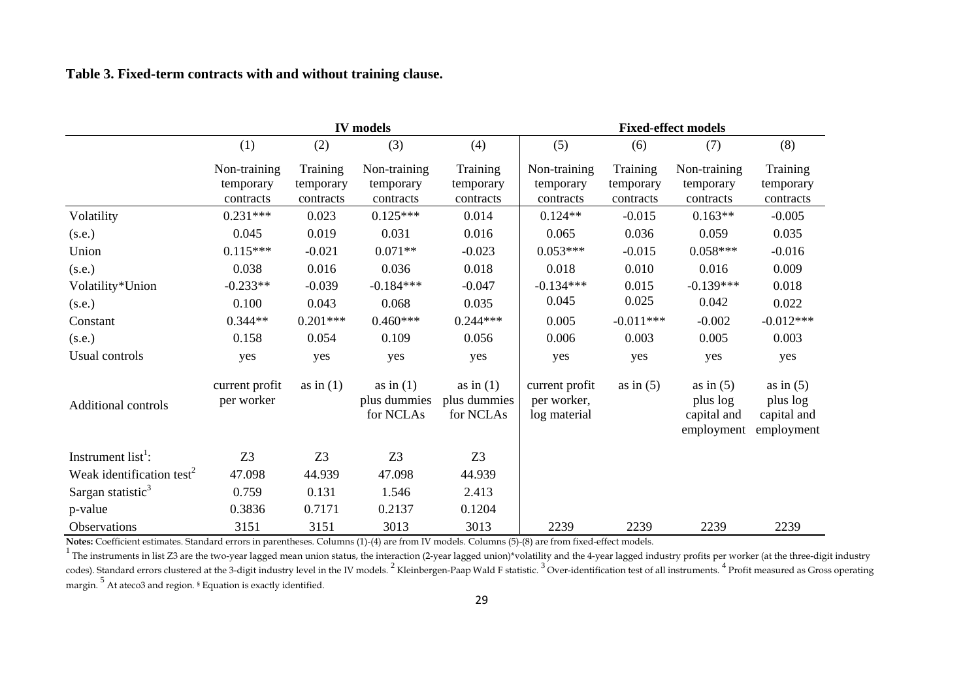|  |  |  |  | Table 3. Fixed-term contracts with and without training clause. |  |  |  |  |  |  |  |
|--|--|--|--|-----------------------------------------------------------------|--|--|--|--|--|--|--|
|--|--|--|--|-----------------------------------------------------------------|--|--|--|--|--|--|--|

|                                       |                                        |                                    | <b>IV</b> models                         |                                          | <b>Fixed-effect models</b>                    |                                    |                                                      |                                                      |  |  |
|---------------------------------------|----------------------------------------|------------------------------------|------------------------------------------|------------------------------------------|-----------------------------------------------|------------------------------------|------------------------------------------------------|------------------------------------------------------|--|--|
|                                       | (1)                                    | (2)                                | (3)                                      | (4)                                      | (5)                                           | (6)                                | (7)                                                  | (8)                                                  |  |  |
|                                       | Non-training<br>temporary<br>contracts | Training<br>temporary<br>contracts | Non-training<br>temporary<br>contracts   | Training<br>temporary<br>contracts       | Non-training<br>temporary<br>contracts        | Training<br>temporary<br>contracts | Non-training<br>temporary<br>contracts               | Training<br>temporary<br>contracts                   |  |  |
| Volatility                            | $0.231***$                             | 0.023                              | $0.125***$                               | 0.014                                    | $0.124**$                                     | $-0.015$                           | $0.163**$                                            | $-0.005$                                             |  |  |
| (s.e.)                                | 0.045                                  | 0.019                              | 0.031                                    | 0.016                                    | 0.065                                         | 0.036                              | 0.059                                                | 0.035                                                |  |  |
| Union                                 | $0.115***$                             | $-0.021$                           | $0.071**$                                | $-0.023$                                 | $0.053***$                                    | $-0.015$                           | $0.058***$                                           | $-0.016$                                             |  |  |
| (s.e.)                                | 0.038                                  | 0.016                              | 0.036                                    | 0.018                                    | 0.018                                         | 0.010                              | 0.016                                                | 0.009                                                |  |  |
| Volatility*Union                      | $-0.233**$                             | $-0.039$                           | $-0.184***$                              | $-0.047$                                 | $-0.134***$                                   | 0.015                              | $-0.139***$                                          | 0.018                                                |  |  |
| (s.e.)                                | 0.100                                  | 0.043                              | 0.068                                    | 0.035                                    | 0.045                                         | 0.025                              | 0.042                                                | 0.022                                                |  |  |
| Constant                              | $0.344**$                              | $0.201***$                         | $0.460***$                               | $0.244***$                               | 0.005                                         | $-0.011***$                        | $-0.002$                                             | $-0.012***$                                          |  |  |
| (s.e.)                                | 0.158                                  | 0.054                              | 0.109                                    | 0.056                                    | 0.006                                         | 0.003                              | 0.005                                                | 0.003                                                |  |  |
| Usual controls                        | yes                                    | yes                                | yes                                      | yes                                      | yes                                           | yes                                | yes                                                  | yes                                                  |  |  |
| <b>Additional controls</b>            | current profit<br>per worker           | as in $(1)$                        | as in $(1)$<br>plus dummies<br>for NCLAs | as in $(1)$<br>plus dummies<br>for NCLAs | current profit<br>per worker,<br>log material | as in $(5)$                        | as in $(5)$<br>plus log<br>capital and<br>employment | as in $(5)$<br>plus log<br>capital and<br>employment |  |  |
| Instrument $list^1$ :                 | Z <sub>3</sub>                         | Z <sub>3</sub>                     | Z <sub>3</sub>                           | Z3                                       |                                               |                                    |                                                      |                                                      |  |  |
| Weak identification test <sup>2</sup> | 47.098                                 | 44.939                             | 47.098                                   | 44.939                                   |                                               |                                    |                                                      |                                                      |  |  |
| Sargan statistic <sup>3</sup>         | 0.759                                  | 0.131                              | 1.546                                    | 2.413                                    |                                               |                                    |                                                      |                                                      |  |  |
| p-value                               | 0.3836                                 | 0.7171                             | 0.2137                                   | 0.1204                                   |                                               |                                    |                                                      |                                                      |  |  |
| Observations                          | 3151                                   | 3151                               | 3013                                     | 3013                                     | 2239                                          | 2239                               | 2239                                                 | 2239                                                 |  |  |

**Notes:** Coefficient estimates. Standard errors in parentheses. Columns (1)-(4) are from IV models. Columns (5)-(8) are from fixed-effect models.

 $^1$  The instruments in list Z3 are the two-year lagged mean union status, the interaction (2-year lagged union)\*volatility and the 4-year lagged industry profits per worker (at the three-digit industry codes). Standard errors clustered at the 3-digit industry level in the IV models.  $^2$  Kleinbergen-Paap Wald F statistic.  $^3$  Over-identification test of all instruments.  $^4$  Profit measured as Gross operating margin. <sup>5</sup> At ateco3 and region. <sup>§</sup> Equation is exactly identified.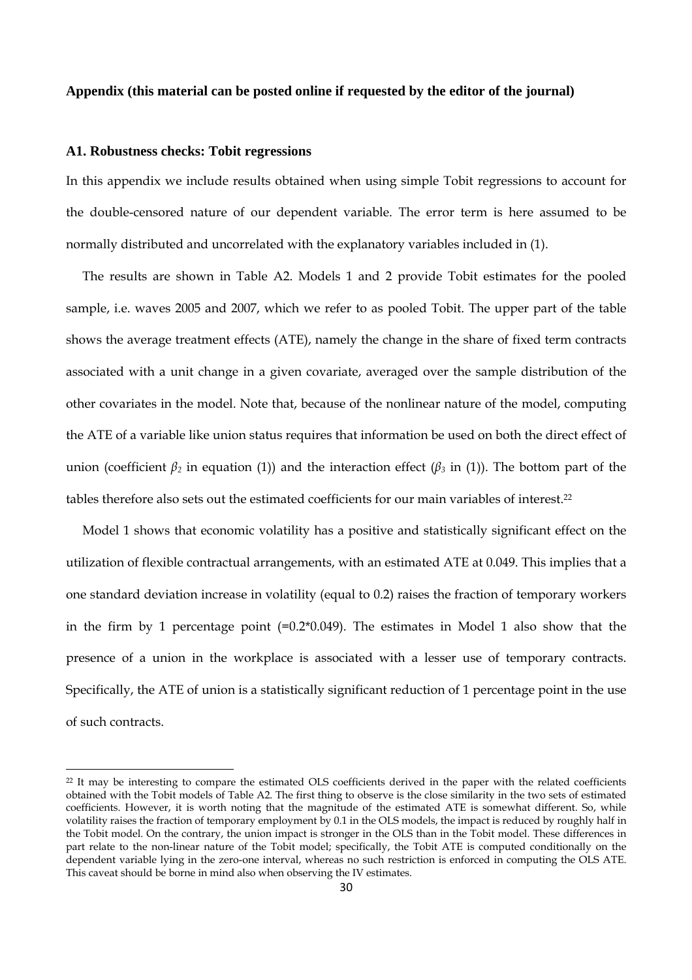#### **Appendix (this material can be posted online if requested by the editor of the journal)**

#### **A1. Robustness checks: Tobit regressions**

In this appendix we include results obtained when using simple Tobit regressions to account for the double-censored nature of our dependent variable. The error term is here assumed to be normally distributed and uncorrelated with the explanatory variables included in (1).

The results are shown in Table A2. Models 1 and 2 provide Tobit estimates for the pooled sample, i.e. waves 2005 and 2007, which we refer to as pooled Tobit. The upper part of the table shows the average treatment effects (ATE), namely the change in the share of fixed term contracts associated with a unit change in a given covariate, averaged over the sample distribution of the other covariates in the model. Note that, because of the nonlinear nature of the model, computing the ATE of a variable like union status requires that information be used on both the direct effect of union (coefficient  $\beta_2$  in equation (1)) and the interaction effect ( $\beta_3$  in (1)). The bottom part of the tables therefore also sets out the estimated coefficients for our main variables of interest.22

Model 1 shows that economic volatility has a positive and statistically significant effect on the utilization of flexible contractual arrangements, with an estimated ATE at 0.049. This implies that a one standard deviation increase in volatility (equal to 0.2) raises the fraction of temporary workers in the firm by 1 percentage point  $(=0.2*0.049)$ . The estimates in Model 1 also show that the presence of a union in the workplace is associated with a lesser use of temporary contracts. Specifically, the ATE of union is a statistically significant reduction of 1 percentage point in the use of such contracts.

<sup>22</sup> It may be interesting to compare the estimated OLS coefficients derived in the paper with the related coefficients obtained with the Tobit models of Table A2. The first thing to observe is the close similarity in the two sets of estimated coefficients. However, it is worth noting that the magnitude of the estimated ATE is somewhat different. So, while volatility raises the fraction of temporary employment by 0.1 in the OLS models, the impact is reduced by roughly half in the Tobit model. On the contrary, the union impact is stronger in the OLS than in the Tobit model. These differences in part relate to the non-linear nature of the Tobit model; specifically, the Tobit ATE is computed conditionally on the dependent variable lying in the zero-one interval, whereas no such restriction is enforced in computing the OLS ATE. This caveat should be borne in mind also when observing the IV estimates.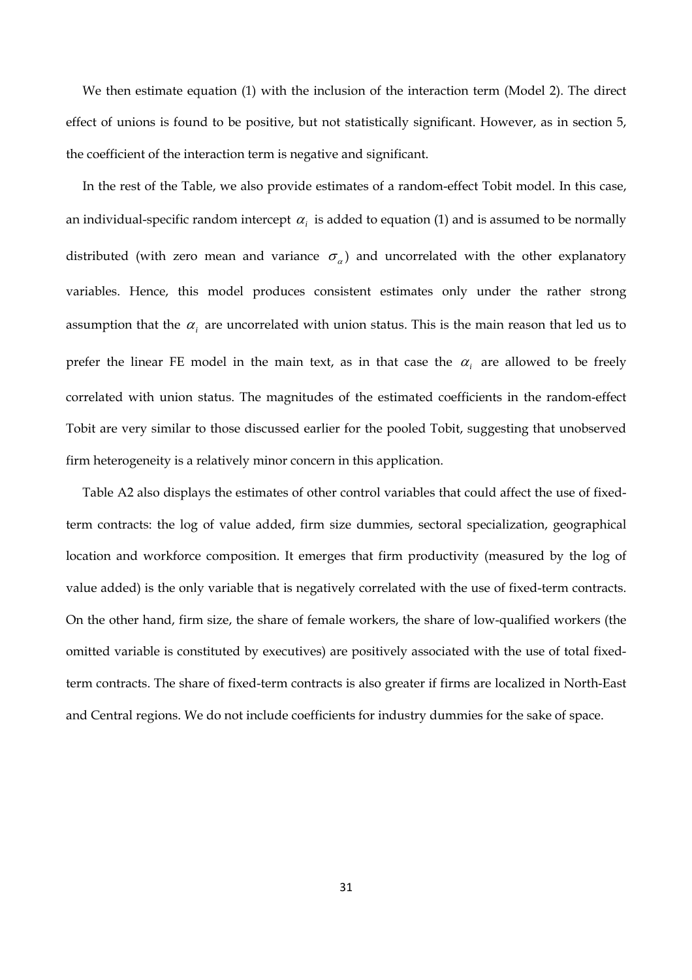We then estimate equation (1) with the inclusion of the interaction term (Model 2). The direct effect of unions is found to be positive, but not statistically significant. However, as in section 5, the coefficient of the interaction term is negative and significant.

In the rest of the Table, we also provide estimates of a random-effect Tobit model. In this case, an individual-specific random intercept  $\alpha_i$  is added to equation (1) and is assumed to be normally distributed (with zero mean and variance  $\sigma_{\alpha}$ ) and uncorrelated with the other explanatory variables. Hence, this model produces consistent estimates only under the rather strong assumption that the  $\alpha_i$  are uncorrelated with union status. This is the main reason that led us to prefer the linear FE model in the main text, as in that case the  $\alpha_i$  are allowed to be freely correlated with union status. The magnitudes of the estimated coefficients in the random-effect Tobit are very similar to those discussed earlier for the pooled Tobit, suggesting that unobserved firm heterogeneity is a relatively minor concern in this application.

Table A2 also displays the estimates of other control variables that could affect the use of fixedterm contracts: the log of value added, firm size dummies, sectoral specialization, geographical location and workforce composition. It emerges that firm productivity (measured by the log of value added) is the only variable that is negatively correlated with the use of fixed-term contracts. On the other hand, firm size, the share of female workers, the share of low-qualified workers (the omitted variable is constituted by executives) are positively associated with the use of total fixedterm contracts. The share of fixed-term contracts is also greater if firms are localized in North-East and Central regions. We do not include coefficients for industry dummies for the sake of space.